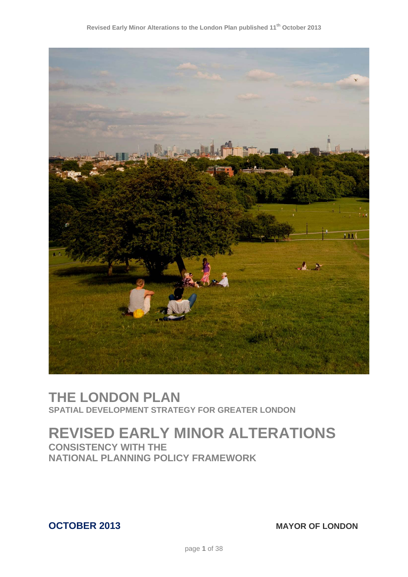

# **THE LONDON PLAN SPATIAL DEVELOPMENT STRATEGY FOR GREATER LONDON**

# **REVISED EARLY MINOR ALTERATIONS**

**CONSISTENCY WITH THE NATIONAL PLANNING POLICY FRAMEWORK**

**OCTOBER 2013** MAYOR OF LONDON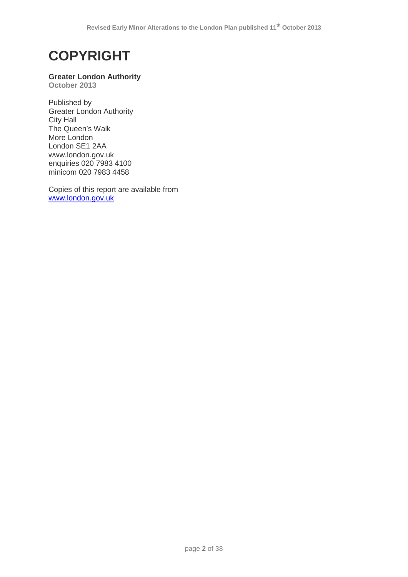# **COPYRIGHT**

# **Greater London Authority**

**October 2013**

Published by Greater London Authority City Hall The Queen's Walk More London London SE1 2AA www.london.gov.uk enquiries 020 7983 4100 minicom 020 7983 4458

Copies of this report are available from [www.london.gov.uk](http://www.london.gov.uk/)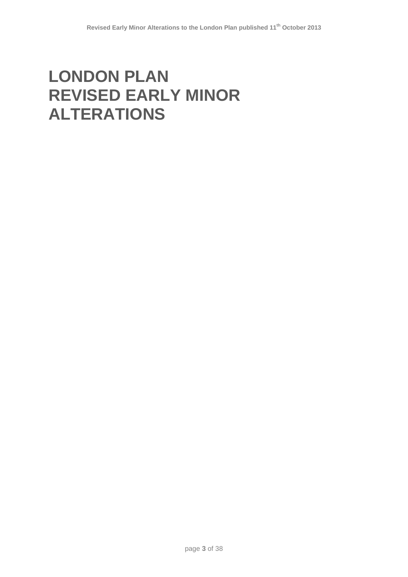# **LONDON PLAN REVISED EARLY MINOR ALTERATIONS**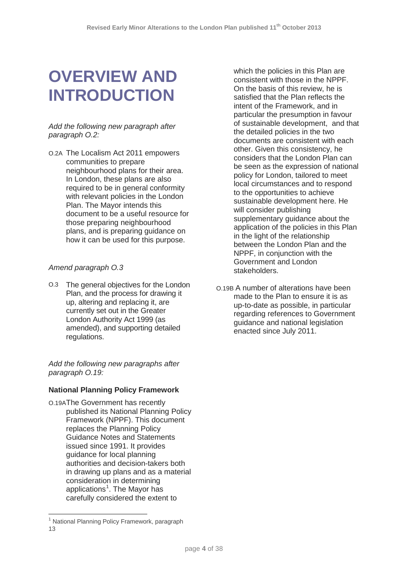# **OVERVIEW AND INTRODUCTION**

#### *Add the following new paragraph after paragraph O.2:*

O.2A The Localism Act 2011 empowers communities to prepare neighbourhood plans for their area. In London, these plans are also required to be in general conformity with relevant policies in the London Plan. The Mayor intends this document to be a useful resource for those preparing neighbourhood plans, and is preparing guidance on how it can be used for this purpose.

# *Amend paragraph O.3*

O.3 The general objectives for the London Plan, and the process for drawing it up, altering and replacing it, are currently set out in the Greater London Authority Act 1999 (as amended), and supporting detailed regulations.

*Add the following new paragraphs after paragraph O.19:*

# **National Planning Policy Framework**

O.19AThe Government has recently published its National Planning Policy Framework (NPPF). This document replaces the Planning Policy Guidance Notes and Statements issued since 1991. It provides guidance for local planning authorities and decision-takers both in drawing up plans and as a material consideration in determining applications<sup>[1](#page-3-0)</sup>. The Mayor has carefully considered the extent to

<u>.</u>

which the policies in this Plan are consistent with those in the NPPF. On the basis of this review, he is satisfied that the Plan reflects the intent of the Framework, and in particular the presumption in favour of sustainable development, and that the detailed policies in the two documents are consistent with each other. Given this consistency, he considers that the London Plan can be seen as the expression of national policy for London, tailored to meet local circumstances and to respond to the opportunities to achieve sustainable development here. He will consider publishing supplementary guidance about the application of the policies in this Plan in the light of the relationship between the London Plan and the NPPF, in conjunction with the Government and London stakeholders.

O.19B A number of alterations have been made to the Plan to ensure it is as up-to-date as possible, in particular regarding references to Government guidance and national legislation enacted since July 2011.

<span id="page-3-0"></span><sup>&</sup>lt;sup>1</sup> National Planning Policy Framework, paragraph 13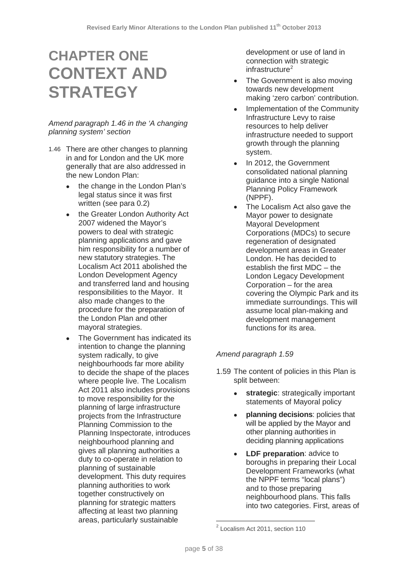# **CHAPTER ONE CONTEXT AND STRATEGY**

#### *Amend paragraph 1.46 in the 'A changing planning system' section*

- 1.46 There are other changes to planning in and for London and the UK more generally that are also addressed in the new London Plan:
	- the change in the London Plan's legal status since it was first written (see para 0.2)
	- the Greater London Authority Act 2007 widened the Mayor's powers to deal with strategic planning applications and gave him responsibility for a number of new statutory strategies. The Localism Act 2011 abolished the London Development Agency and transferred land and housing responsibilities to the Mayor. It also made changes to the procedure for the preparation of the London Plan and other mayoral strategies.
	- The Government has indicated its intention to change the planning system radically, to give neighbourhoods far more ability to decide the shape of the places where people live. The Localism Act 2011 also includes provisions to move responsibility for the planning of large infrastructure projects from the Infrastructure Planning Commission to the Planning Inspectorate, introduces neighbourhood planning and gives all planning authorities a duty to co-operate in relation to planning of sustainable development. This duty requires planning authorities to work together constructively on planning for strategic matters affecting at least two planning areas, particularly sustainable

development or use of land in connection with strategic infrastructure<sup>[2](#page-4-0)</sup>

- The Government is also moving towards new development making 'zero carbon' contribution.
- Implementation of the Community Infrastructure Levy to raise resources to help deliver infrastructure needed to support growth through the planning system.
- In 2012, the Government consolidated national planning guidance into a single National Planning Policy Framework (NPPF).
- The Localism Act also gave the Mayor power to designate Mayoral Development Corporations (MDCs) to secure regeneration of designated development areas in Greater London. He has decided to establish the first MDC – the London Legacy Development Corporation – for the area covering the Olympic Park and its immediate surroundings. This will assume local plan-making and development management functions for its area.

# *Amend paragraph 1.59*

- 1.59 The content of policies in this Plan is split between:
	- **strategic**: strategically important statements of Mayoral policy
	- **planning decisions**: policies that will be applied by the Mayor and other planning authorities in deciding planning applications
	- **LDF preparation**: advice to boroughs in preparing their Local Development Frameworks (what the NPPF terms "local plans") and to those preparing neighbourhood plans. This falls into two categories. First, areas of

<span id="page-4-0"></span><sup>&</sup>lt;sup>2</sup> Localism Act 2011, section 110  $\overline{\phantom{a}}$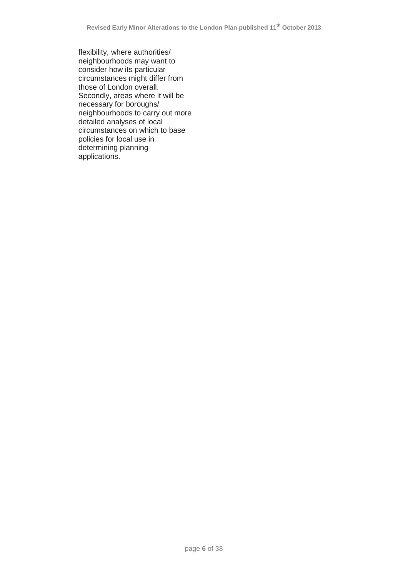flexibility, where authorities/ neighbourhoods may want to consider how its particular circumstances might differ from those of London overall. Secondly, areas where it will be necessary for boroughs/ neighbourhoods to carry out more detailed analyses of local circumstances on which to base policies for local use in determining planning applications.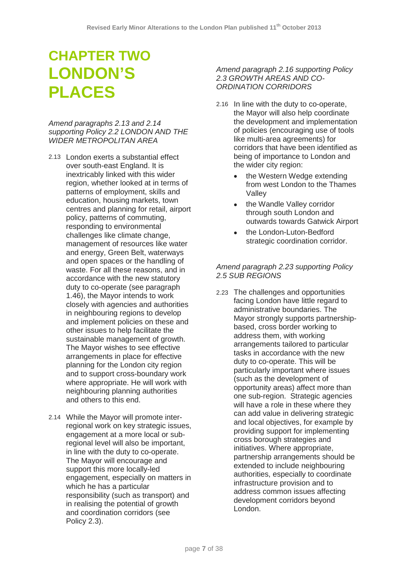# **CHAPTER TWO LONDON'S PLACES**

#### *Amend paragraphs 2.13 and 2.14 supporting Policy 2.2 LONDON AND THE WIDER METROPOLITAN AREA*

- 2.13 London exerts a substantial effect over south-east England. It is inextricably linked with this wider region, whether looked at in terms of patterns of employment, skills and education, housing markets, town centres and planning for retail, airport policy, patterns of commuting, responding to environmental challenges like climate change, management of resources like water and energy, Green Belt, waterways and open spaces or the handling of waste. For all these reasons, and in accordance with the new statutory duty to co-operate (see paragraph 1.46), the Mayor intends to work closely with agencies and authorities in neighbouring regions to develop and implement policies on these and other issues to help facilitate the sustainable management of growth. The Mayor wishes to see effective arrangements in place for effective planning for the London city region and to support cross-boundary work where appropriate. He will work with neighbouring planning authorities and others to this end.
- 2.14 While the Mayor will promote interregional work on key strategic issues, engagement at a more local or subregional level will also be important, in line with the duty to co-operate. The Mayor will encourage and support this more locally-led engagement, especially on matters in which he has a particular responsibility (such as transport) and in realising the potential of growth and coordination corridors (see Policy 2.3).

#### *Amend paragraph 2.16 supporting Policy 2.3 GROWTH AREAS AND CO-ORDINATION CORRIDORS*

- 2.16 In line with the duty to co-operate, the Mayor will also help coordinate the development and implementation of policies (encouraging use of tools like multi-area agreements) for corridors that have been identified as being of importance to London and the wider city region:
	- the Western Wedge extending from west London to the Thames Valley
	- the Wandle Valley corridor through south London and outwards towards Gatwick Airport
	- the London-Luton-Bedford strategic coordination corridor.

# *Amend paragraph 2.23 supporting Policy 2.5 SUB REGIONS*

2.23 The challenges and opportunities facing London have little regard to administrative boundaries. The Mayor strongly supports partnershipbased, cross border working to address them, with working arrangements tailored to particular tasks in accordance with the new duty to co-operate. This will be particularly important where issues (such as the development of opportunity areas) affect more than one sub-region. Strategic agencies will have a role in these where they can add value in delivering strategic and local objectives, for example by providing support for implementing cross borough strategies and initiatives. Where appropriate, partnership arrangements should be extended to include neighbouring authorities, especially to coordinate infrastructure provision and to address common issues affecting development corridors beyond London.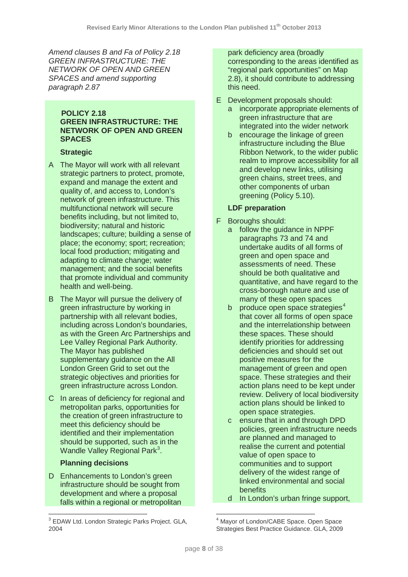*Amend clauses B and Fa of Policy 2.18 GREEN INFRASTRUCTURE: THE NETWORK OF OPEN AND GREEN SPACES and amend supporting paragraph 2.87*

# **POLICY 2.18 GREEN INFRASTRUCTURE: THE NETWORK OF OPEN AND GREEN SPACES**

# **Strategic**

- A The Mayor will work with all relevant strategic partners to protect, promote, expand and manage the extent and quality of, and access to, London's network of green infrastructure. This multifunctional network will secure benefits including, but not limited to, biodiversity; natural and historic landscapes; culture; building a sense of place; the economy; sport; recreation; local food production; mitigating and adapting to climate change; water management; and the social benefits that promote individual and community health and well-being.
- B The Mayor will pursue the delivery of green infrastructure by working in partnership with all relevant bodies, including across London's boundaries, as with the Green Arc Partnerships and Lee Valley Regional Park Authority. The Mayor has published supplementary guidance on the All London Green Grid to set out the strategic objectives and priorities for green infrastructure across London.
- C In areas of deficiency for regional and metropolitan parks, opportunities for the creation of green infrastructure to meet this deficiency should be identified and their implementation should be supported, such as in the Wandle Valley Regional Park<sup>[3](#page-7-0)</sup>.

# **Planning decisions**

D Enhancements to London's green infrastructure should be sought from development and where a proposal falls within a regional or metropolitan

park deficiency area (broadly corresponding to the areas identified as "regional park opportunities" on Map 2.8), it should contribute to addressing this need.

- E Development proposals should:
	- a incorporate appropriate elements of green infrastructure that are integrated into the wider network
	- b encourage the linkage of green infrastructure including the Blue Ribbon Network, to the wider public realm to improve accessibility for all and develop new links, utilising green chains, street trees, and other components of urban greening (Policy 5.10).

# **LDF preparation**

- F Boroughs should:
	- a follow the guidance in NPPF paragraphs 73 and 74 and undertake audits of all forms of green and open space and assessments of need. These should be both qualitative and quantitative, and have regard to the cross-borough nature and use of many of these open spaces
	- b produce open space strategies<sup>[4](#page-7-0)</sup> that cover all forms of open space and the interrelationship between these spaces. These should identify priorities for addressing deficiencies and should set out positive measures for the management of green and open space. These strategies and their action plans need to be kept under review. Delivery of local biodiversity action plans should be linked to open space strategies.
	- c ensure that in and through DPD policies, green infrastructure needs are planned and managed to realise the current and potential value of open space to communities and to support delivery of the widest range of linked environmental and social **benefits**
	- d In London's urban fringe support,

<span id="page-7-0"></span><sup>&</sup>lt;sup>3</sup> EDAW Ltd. London Strategic Parks Project. GLA, 2004 <u>.</u>

Mayor of London/CABE Space. Open Space Strategies Best Practice Guidance. GLA, 2009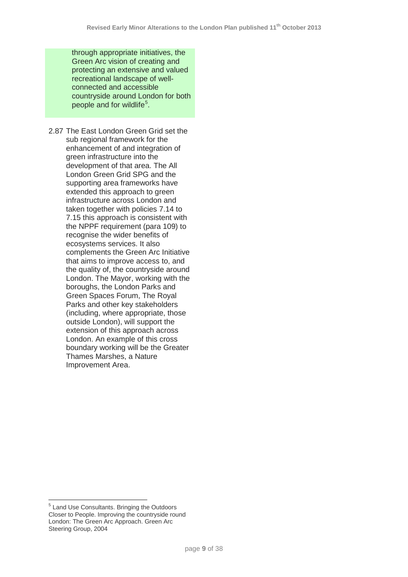through appropriate initiatives, the Green Arc vision of creating and protecting an extensive and valued recreational landscape of wellconnected and accessible countryside around London for both people and for wildlife<sup>[5](#page-8-0)</sup>.

2.87 The East London Green Grid set the sub regional framework for the enhancement of and integration of green infrastructure into the development of that area. The All London Green Grid SPG and the supporting area frameworks have extended this approach to green infrastructure across London and taken together with policies 7.14 to 7.15 this approach is consistent with the NPPF requirement (para 109) to recognise the wider benefits of ecosystems services. It also complements the Green Arc Initiative that aims to improve access to, and the quality of, the countryside around London. The Mayor, working with the boroughs, the London Parks and Green Spaces Forum, The Royal Parks and other key stakeholders (including, where appropriate, those outside London), will support the extension of this approach across London. An example of this cross boundary working will be the Greater Thames Marshes, a Nature Improvement Area.

<span id="page-8-0"></span><sup>5</sup> Land Use Consultants. Bringing the Outdoors Closer to People. Improving the countryside round London: The Green Arc Approach. Green Arc Steering Group, 2004  $\overline{\phantom{a}}$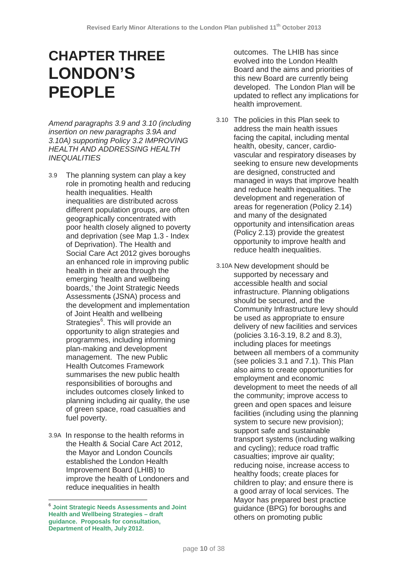# **CHAPTER THREE LONDON'S PEOPLE**

*Amend paragraphs 3.9 and 3.10 (including insertion on new paragraphs 3.9A and 3.10A) supporting Policy 3.2 IMPROVING HEALTH AND ADDRESSING HEALTH INEQUALITIES*

- 3.9 The planning system can play a key role in promoting health and reducing health inequalities. Health inequalities are distributed across different population groups, are often geographically concentrated with poor health closely aligned to poverty and deprivation (see Map 1.3 - Index of Deprivation). The Health and Social Care Act 2012 gives boroughs an enhanced role in improving public health in their area through the emerging 'health and wellbeing boards,' the Joint Strategic Needs Assessments (JSNA) process and the development and implementation of Joint Health and wellbeing Strategies<sup>[6](#page-9-0)</sup>. This will provide an opportunity to align strategies and programmes, including informing plan-making and development management. The new Public Health Outcomes Framework summarises the new public health responsibilities of boroughs and includes outcomes closely linked to planning including air quality, the use of green space, road casualties and fuel poverty.
- 3.9A In response to the health reforms in the Health & Social Care Act 2012, the Mayor and London Councils established the London Health Improvement Board (LHIB) to improve the health of Londoners and reduce inequalities in health

outcomes. The LHIB has since evolved into the London Health Board and the aims and priorities of this new Board are currently being developed. The London Plan will be updated to reflect any implications for health improvement.

- 3.10 The policies in this Plan seek to address the main health issues facing the capital, including mental health, obesity, cancer, cardiovascular and respiratory diseases by seeking to ensure new developments are designed, constructed and managed in ways that improve health and reduce health inequalities. The development and regeneration of areas for regeneration (Policy 2.14) and many of the designated opportunity and intensification areas (Policy 2.13) provide the greatest opportunity to improve health and reduce health inequalities.
- 3.10A New development should be supported by necessary and accessible health and social infrastructure. Planning obligations should be secured, and the Community Infrastructure levy should be used as appropriate to ensure delivery of new facilities and services (policies 3.16-3.19, 8.2 and 8.3), including places for meetings between all members of a community (see policies 3.1 and 7.1). This Plan also aims to create opportunities for employment and economic development to meet the needs of all the community; improve access to green and open spaces and leisure facilities (including using the planning system to secure new provision); support safe and sustainable transport systems (including walking and cycling); reduce road traffic casualties; improve air quality; reducing noise, increase access to healthy foods; create places for children to play; and ensure there is a good array of local services. The Mayor has prepared best practice guidance (BPG) for boroughs and others on promoting public

<span id="page-9-0"></span><sup>6</sup> **Joint Strategic Needs Assessments and Joint Health and Wellbeing Strategies – draft guidance. Proposals for consultation, Department of Health, July 2012.**  $\overline{\phantom{a}}$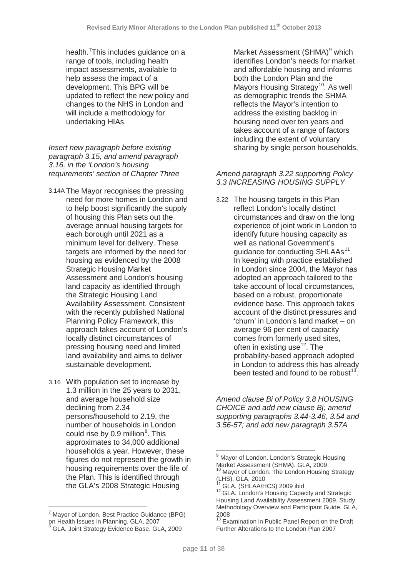health.<sup>[7](#page-10-0)</sup>This includes guidance on a range of tools, including health impact assessments, available to help assess the impact of a development. This BPG will be updated to reflect the new policy and changes to the NHS in London and will include a methodology for undertaking HIAs.

*Insert new paragraph before existing paragraph 3.15, and amend paragraph 3.16, in the 'London's housing requirements' section of Chapter Three*

- 3.14A The Mayor recognises the pressing need for more homes in London and to help boost significantly the supply of housing this Plan sets out the average annual housing targets for each borough until 2021 as a minimum level for delivery. These targets are informed by the need for housing as evidenced by the 2008 Strategic Housing Market Assessment and London's housing land capacity as identified through the Strategic Housing Land Availability Assessment. Consistent with the recently published National Planning Policy Framework, this approach takes account of London's locally distinct circumstances of pressing housing need and limited land availability and aims to deliver sustainable development.
- 3.16 With population set to increase by 1.3 million in the 25 years to 2031, and average household size declining from 2.34 persons/household to 2.19, the number of households in London could rise by 0.9 million<sup>[8](#page-10-1)</sup>. This approximates to 34,000 additional households a year. However, these figures do not represent the growth in housing requirements over the life of the Plan. This is identified through the GLA's 2008 Strategic Housing

<span id="page-10-5"></span><span id="page-10-4"></span><span id="page-10-3"></span><span id="page-10-2"></span> $\overline{\phantom{a}}$ 

Market Assessment (SHMA)<sup>[9](#page-10-2)</sup> which identifies London's needs for market and affordable housing and informs both the London Plan and the Mayors Housing Strategy<sup>10</sup>. As well as demographic trends the SHMA reflects the Mayor's intention to address the existing backlog in housing need over ten years and takes account of a range of factors including the extent of voluntary sharing by single person households.

### *Amend paragraph 3.22 supporting Policy 3.3 INCREASING HOUSING SUPPLY*

3.22 The housing targets in this Plan reflect London's locally distinct circumstances and draw on the long experience of joint work in London to identify future housing capacity as well as national Government's guidance for conducting SHLAAs<sup>11</sup>. In keeping with practice established in London since 2004, the Mayor has adopted an approach tailored to the take account of local circumstances, based on a robust, proportionate evidence base. This approach takes account of the distinct pressures and 'churn' in London's land market – on average 96 per cent of capacity comes from formerly used sites, often in existing use $12$ . The probability-based approach adopted in London to address this has already been tested and found to be robust  $13$ .

*Amend clause Bi of Policy 3.8 HOUSING CHOICE and add new clause Bj; amend supporting paragraphs 3.44-3.46, 3.54 and 3.56-57; and add new paragraph 3.57A*

 $\overline{\phantom{a}}$ 

<span id="page-10-6"></span><span id="page-10-0"></span> $^7$  Mayor of London. Best Practice Guidance (BPG) on Health Issues in Planning. GLA, 2007

<span id="page-10-1"></span> $8$  GLA. Joint Strategy Evidence Base. GLA, 2009

<sup>&</sup>lt;sup>9</sup> Mayor of London. London's Strategic Housing Market Assessment (SHMA). GLA, 2009

<sup>&</sup>lt;sup>10</sup> Mayor of London. The London Housing Strategy (LHS). GLA, 2010<br><sup>11</sup> GLA. (SHLAA/HCS) 2009 ibid

<sup>&</sup>lt;sup>12</sup> GLA. London's Housing Capacity and Strategic Housing Land Availability Assessment 2009. Study Methodology Overview and Participant Guide. GLA,  $2008$ 

Examination in Public Panel Report on the Draft Further Alterations to the London Plan 2007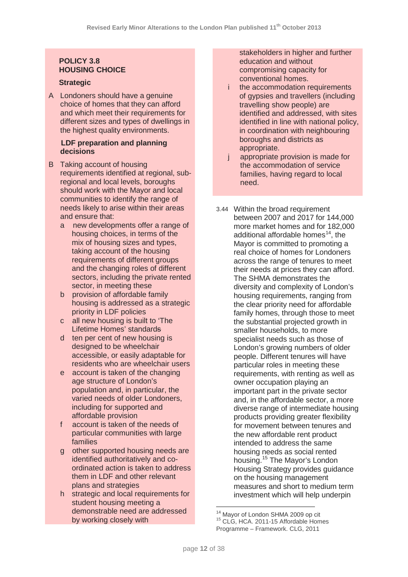# **POLICY 3.8 HOUSING CHOICE**

# **Strategic**

A Londoners should have a genuine choice of homes that they can afford and which meet their requirements for different sizes and types of dwellings in the highest quality environments.

### **LDF preparation and planning decisions**

- B Taking account of housing requirements identified at regional, subregional and local levels, boroughs should work with the Mayor and local communities to identify the range of needs likely to arise within their areas and ensure that:
	- a new developments offer a range of housing choices, in terms of the mix of housing sizes and types, taking account of the housing requirements of different groups and the changing roles of different sectors, including the private rented sector, in meeting these
	- b provision of affordable family housing is addressed as a strategic priority in LDF policies
	- c all new housing is built to 'The Lifetime Homes' standards
	- d ten per cent of new housing is designed to be wheelchair accessible, or easily adaptable for residents who are wheelchair users
	- e account is taken of the changing age structure of London's population and, in particular, the varied needs of older Londoners, including for supported and affordable provision
	- f account is taken of the needs of particular communities with large families
	- g other supported housing needs are identified authoritatively and coordinated action is taken to address them in LDF and other relevant plans and strategies
	- h strategic and local requirements for student housing meeting a demonstrable need are addressed by working closely with

stakeholders in higher and further education and without compromising capacity for conventional homes.

- i the accommodation requirements of gypsies and travellers (including travelling show people) are identified and addressed, with sites identified in line with national policy, in coordination with neighbouring boroughs and districts as appropriate.
- j appropriate provision is made for the accommodation of service families, having regard to local need.
- 3.44 Within the broad requirement between 2007 and 2017 for 144,000 more market homes and for 182,000  $\frac{1}{2}$  additional affordable homes<sup>[14](#page-11-0)</sup>, the Mayor is committed to promoting a real choice of homes for Londoners across the range of tenures to meet their needs at prices they can afford. The SHMA demonstrates the diversity and complexity of London's housing requirements, ranging from the clear priority need for affordable family homes, through those to meet the substantial projected growth in smaller households, to more specialist needs such as those of London's growing numbers of older people. Different tenures will have particular roles in meeting these requirements, with renting as well as owner occupation playing an important part in the private sector and, in the affordable sector, a more diverse range of intermediate housing products providing greater flexibility for movement between tenures and the new affordable rent product intended to address the same housing needs as social rented housing. [15](#page-11-1) The Mayor's London Housing Strategy provides guidance on the housing management measures and short to medium term investment which will help underpin

<span id="page-11-1"></span><span id="page-11-0"></span> $14$  Mayor of London SHMA 2009 op cit  $15$  CLG. HCA. 2011-15 Affordable Homes Programme – Framework. CLG, 2011  $\overline{a}$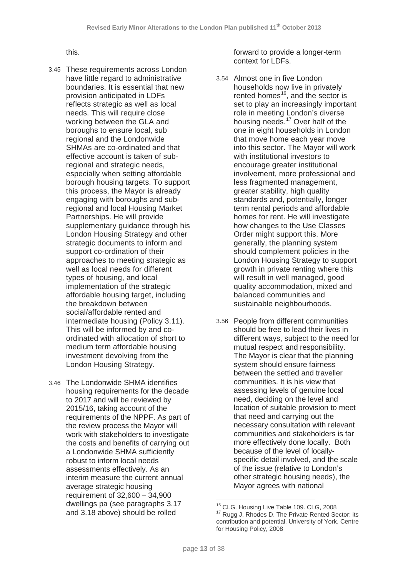this.

- 3.45 These requirements across London have little regard to administrative boundaries. It is essential that new provision anticipated in LDFs reflects strategic as well as local needs. This will require close working between the GLA and boroughs to ensure local, sub regional and the Londonwide SHMAs are co-ordinated and that effective account is taken of subregional and strategic needs, especially when setting affordable borough housing targets. To support this process, the Mayor is already engaging with boroughs and subregional and local Housing Market Partnerships. He will provide supplementary guidance through his London Housing Strategy and other strategic documents to inform and support co-ordination of their approaches to meeting strategic as well as local needs for different types of housing, and local implementation of the strategic affordable housing target, including the breakdown between social/affordable rented and intermediate housing (Policy 3.11). This will be informed by and coordinated with allocation of short to medium term affordable housing investment devolving from the London Housing Strategy.
- <span id="page-12-1"></span><span id="page-12-0"></span>3.46 The Londonwide SHMA identifies housing requirements for the decade to 2017 and will be reviewed by 2015/16, taking account of the requirements of the NPPF. As part of the review process the Mayor will work with stakeholders to investigate the costs and benefits of carrying out a Londonwide SHMA sufficiently robust to inform local needs assessments effectively. As an interim measure the current annual average strategic housing requirement of 32,600 – 34,900 dwellings pa (see paragraphs 3.17 and 3.18 above) should be rolled

forward to provide a longer-term context for LDFs.

- 3.54 Almost one in five London households now live in privately rented homes<sup>16</sup>, and the sector is set to play an increasingly important role in meeting London's diverse housing needs. [17](#page-12-1) Over half of the one in eight households in London that move home each year move into this sector. The Mayor will work with institutional investors to encourage greater institutional involvement, more professional and less fragmented management, greater stability, high quality standards and, potentially, longer term rental periods and affordable homes for rent. He will investigate how changes to the Use Classes Order might support this. More generally, the planning system should complement policies in the London Housing Strategy to support growth in private renting where this will result in well managed, good quality accommodation, mixed and balanced communities and sustainable neighbourhoods.
- 3.56 People from different communities should be free to lead their lives in different ways, subject to the need for mutual respect and responsibility. The Mayor is clear that the planning system should ensure fairness between the settled and traveller communities. It is his view that assessing levels of genuine local need, deciding on the level and location of suitable provision to meet that need and carrying out the necessary consultation with relevant communities and stakeholders is far more effectively done locally. Both because of the level of locallyspecific detail involved, and the scale of the issue (relative to London's other strategic housing needs), the Mayor agrees with national

<sup>&</sup>lt;sup>17</sup> Rugg J, Rhodes D. The Private Rented Sector: its contribution and potential. University of York, Centre for Housing Policy, 2008 <sup>16</sup> CLG. Housing Live Table 109. CLG, 2008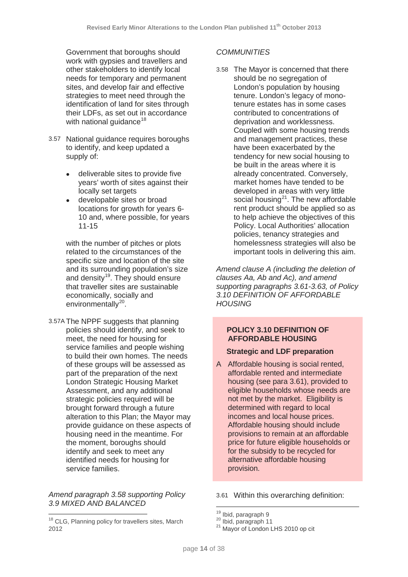Government that boroughs should work with gypsies and travellers and other stakeholders to identify local needs for temporary and permanent sites, and develop fair and effective strategies to meet need through the identification of land for sites through their LDFs, as set out in accordance with national guidance<sup>[18](#page-13-0)</sup>

- 3.57 National guidance requires boroughs to identify, and keep updated a supply of:
	- deliverable sites to provide five years' worth of sites against their locally set targets
	- developable sites or broad locations for growth for years 6- 10 and, where possible, for years 11-15

with the number of pitches or plots related to the circumstances of the specific size and location of the site and its surrounding population's size and density<sup>19</sup>. They should ensure that traveller sites are sustainable economically, socially and environmentally<sup>20</sup>.

3.57A The NPPF suggests that planning policies should identify, and seek to meet, the need for housing for service families and people wishing to build their own homes. The needs of these groups will be assessed as part of the preparation of the next London Strategic Housing Market Assessment, and any additional strategic policies required will be brought forward through a future alteration to this Plan; the Mayor may provide guidance on these aspects of housing need in the meantime. For the moment, boroughs should identify and seek to meet any identified needs for housing for service families.

*Amend paragraph 3.58 supporting Policy 3.9 MIXED AND BALANCED* 

# *COMMUNITIES*

3.58 The Mayor is concerned that there should be no segregation of London's population by housing tenure. London's legacy of monotenure estates has in some cases contributed to concentrations of deprivation and worklessness. Coupled with some housing trends and management practices, these have been exacerbated by the tendency for new social housing to be built in the areas where it is already concentrated. Conversely, market homes have tended to be developed in areas with very little social housing $^{21}$  $^{21}$  $^{21}$ . The new affordable rent product should be applied so as to help achieve the objectives of this Policy. Local Authorities' allocation policies, tenancy strategies and homelessness strategies will also be important tools in delivering this aim.

*Amend clause A (including the deletion of clauses Aa, Ab and Ac), and amend supporting paragraphs 3.61-3.63, of Policy 3.10 DEFINITION OF AFFORDABLE HOUSING*

# **POLICY 3.10 DEFINITION OF AFFORDABLE HOUSING**

# **Strategic and LDF preparation**

A Affordable housing is social rented, affordable rented and intermediate housing (see para 3.61), provided to eligible households whose needs are not met by the market. Eligibility is determined with regard to local incomes and local house prices. Affordable housing should include provisions to remain at an affordable price for future eligible households or for the subsidy to be recycled for alternative affordable housing provision.

3.61 Within this overarching definition:

<span id="page-13-2"></span><span id="page-13-1"></span><span id="page-13-0"></span><sup>&</sup>lt;sup>18</sup> CLG, Planning policy for travellers sites, March 2012 <u>.</u>

<sup>&</sup>lt;sup>19</sup> Ibid, paragraph 9<br><sup>20</sup> Ibid, paragraph 11<br><sup>21</sup> Mayor of London LHS 2010 op cit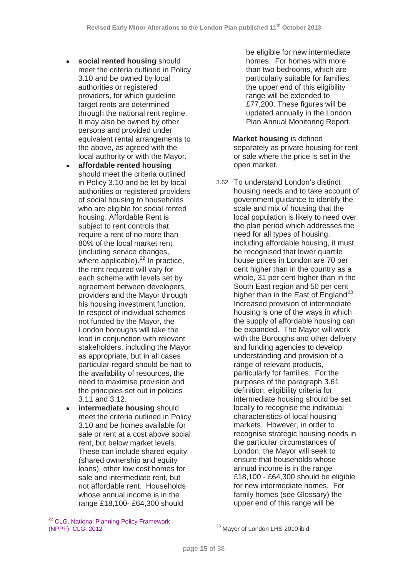- **social rented housing** should meet the criteria outlined in Policy 3.10 and be owned by local authorities or registered providers, for which guideline target rents are determined through the national rent regime. It may also be owned by other persons and provided under equivalent rental arrangements to the above, as agreed with the local authority or with the Mayor.
- **affordable rented housing** should meet the criteria outlined in Policy 3.10 and be let by local authorities or registered providers of social housing to households who are eligible for social rented housing. Affordable Rent is subject to rent controls that require a rent of no more than 80% of the local market rent (including service changes, where applicable). $^{22}$  $^{22}$  $^{22}$  In practice, the rent required will vary for each scheme with levels set by agreement between developers, providers and the Mayor through his housing investment function. In respect of individual schemes not funded by the Mayor, the London boroughs will take the lead in conjunction with relevant stakeholders, including the Mayor as appropriate, but in all cases particular regard should be had to the availability of resources, the need to maximise provision and the principles set out in policies 3.11 and 3.12.
- **intermediate housing** should meet the criteria outlined in Policy 3.10 and be homes available for sale or rent at a cost above social rent, but below market levels. These can include shared equity (shared ownership and equity loans), other low cost homes for sale and intermediate rent, but not affordable rent. Households whose annual income is in the range £18,100- £64,300 should

be eligible for new intermediate homes. For homes with more than two bedrooms, which are particularly suitable for families, the upper end of this eligibility range will be extended to £77,200. These figures will be updated annually in the London Plan Annual Monitoring Report.

**Market housing** is defined separately as private housing for rent or sale where the price is set in the open market.

3.62 To understand London's distinct housing needs and to take account of government guidance to identify the scale and mix of housing that the local population is likely to need over the plan period which addresses the need for all types of housing, including affordable housing, it must be recognised that lower quartile house prices in London are 70 per cent higher than in the country as a whole, 31 per cent higher than in the South East region and 50 per cent higher than in the East of England<sup>[23](#page-14-1)</sup>. Increased provision of intermediate housing is one of the ways in which the supply of affordable housing can be expanded. The Mayor will work with the Boroughs and other delivery and funding agencies to develop understanding and provision of a range of relevant products, particularly for families. For the purposes of the paragraph 3.61 definition, eligibility criteria for intermediate housing should be set locally to recognise the individual characteristics of local housing markets. However, in order to recognise strategic housing needs in the particular circumstances of London, the Mayor will seek to ensure that households whose annual income is in the range £18,100 - £64,300 should be eligible for new intermediate homes. For family homes (see Glossary) the upper end of this range will be

<span id="page-14-1"></span><span id="page-14-0"></span><sup>&</sup>lt;sup>22</sup> CLG. National Planning Policy Framework (NPPF). CLG, 2012 <u>.</u>

<sup>&</sup>lt;sup>23</sup> Mayor of London LHS 2010 ibid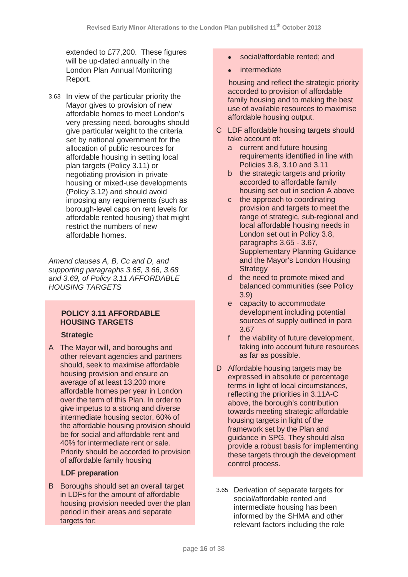extended to £77,200. These figures will be up-dated annually in the London Plan Annual Monitoring Report.

3.63 In view of the particular priority the Mayor gives to provision of new affordable homes to meet London's very pressing need, boroughs should give particular weight to the criteria set by national government for the allocation of public resources for affordable housing in setting local plan targets (Policy 3.11) or negotiating provision in private housing or mixed-use developments (Policy 3.12) and should avoid imposing any requirements (such as borough-level caps on rent levels for affordable rented housing) that might restrict the numbers of new affordable homes.

*Amend clauses A, B, Cc and D, and supporting paragraphs 3.65, 3.66, 3.68 and 3.69, of Policy 3.11 AFFORDABLE HOUSING TARGETS*

# **POLICY 3.11 AFFORDABLE HOUSING TARGETS**

# **Strategic**

A The Mayor will, and boroughs and other relevant agencies and partners should, seek to maximise affordable housing provision and ensure an average of at least 13,200 more affordable homes per year in London over the term of this Plan. In order to give impetus to a strong and diverse intermediate housing sector, 60% of the affordable housing provision should be for social and affordable rent and 40% for intermediate rent or sale. Priority should be accorded to provision of affordable family housing

# **LDF preparation**

B Boroughs should set an overall target in LDFs for the amount of affordable housing provision needed over the plan period in their areas and separate targets for:

- social/affordable rented; and
- **intermediate**

 housing and reflect the strategic priority accorded to provision of affordable family housing and to making the best use of available resources to maximise affordable housing output.

- C LDF affordable housing targets should take account of:
	- a current and future housing requirements identified in line with Policies 3.8, 3.10 and 3.11
	- b the strategic targets and priority accorded to affordable family housing set out in section A above
	- c the approach to coordinating provision and targets to meet the range of strategic, sub-regional and local affordable housing needs in London set out in Policy 3.8, paragraphs 3.65 - 3.67, Supplementary Planning Guidance and the Mayor's London Housing **Strategy**
	- d the need to promote mixed and balanced communities (see Policy 3.9)
	- e capacity to accommodate development including potential sources of supply outlined in para 3.67
	- f the viability of future development. taking into account future resources as far as possible.
- D Affordable housing targets may be expressed in absolute or percentage terms in light of local circumstances, reflecting the priorities in 3.11A-C above, the borough's contribution towards meeting strategic affordable housing targets in light of the framework set by the Plan and guidance in SPG. They should also provide a robust basis for implementing these targets through the development control process.
- 3.65 Derivation of separate targets for social/affordable rented and intermediate housing has been informed by the SHMA and other relevant factors including the role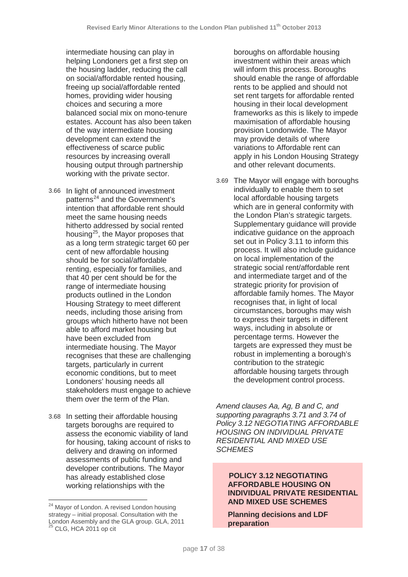intermediate housing can play in helping Londoners get a first step on the housing ladder, reducing the call on social/affordable rented housing, freeing up social/affordable rented homes, providing wider housing choices and securing a more balanced social mix on mono-tenure estates. Account has also been taken of the way intermediate housing development can extend the effectiveness of scarce public resources by increasing overall housing output through partnership working with the private sector.

- 3.66 In light of announced investment patterns<sup>[24](#page-16-0)</sup> and the Government's intention that affordable rent should meet the same housing needs hitherto addressed by social rented housing[25](#page-16-1), the Mayor proposes that as a long term strategic target 60 per cent of new affordable housing should be for social/affordable renting, especially for families, and that 40 per cent should be for the range of intermediate housing products outlined in the London Housing Strategy to meet different needs, including those arising from groups which hitherto have not been able to afford market housing but have been excluded from intermediate housing. The Mayor recognises that these are challenging targets, particularly in current economic conditions, but to meet Londoners' housing needs all stakeholders must engage to achieve them over the term of the Plan.
- 3.68 In setting their affordable housing targets boroughs are required to assess the economic viability of land for housing, taking account of risks to delivery and drawing on informed assessments of public funding and developer contributions. The Mayor has already established close working relationships with the

 $\overline{\phantom{a}}$ 

boroughs on affordable housing investment within their areas which will inform this process. Boroughs should enable the range of affordable rents to be applied and should not set rent targets for affordable rented housing in their local development frameworks as this is likely to impede maximisation of affordable housing provision Londonwide. The Mayor may provide details of where variations to Affordable rent can apply in his London Housing Strategy and other relevant documents.

3.69 The Mayor will engage with boroughs individually to enable them to set local affordable housing targets which are in general conformity with the London Plan's strategic targets. Supplementary guidance will provide indicative guidance on the approach set out in Policy 3.11 to inform this process. It will also include guidance on local implementation of the strategic social rent/affordable rent and intermediate target and of the strategic priority for provision of affordable family homes. The Mayor recognises that, in light of local circumstances, boroughs may wish to express their targets in different ways, including in absolute or percentage terms. However the targets are expressed they must be robust in implementing a borough's contribution to the strategic affordable housing targets through the development control process.

*Amend clauses Aa, Ag, B and C, and supporting paragraphs 3.71 and 3.74 of Policy 3.12 NEGOTIATING AFFORDABLE HOUSING ON INDIVIDUAL PRIVATE RESIDENTIAL AND MIXED USE SCHEMES*

# **POLICY 3.12 NEGOTIATING AFFORDABLE HOUSING ON INDIVIDUAL PRIVATE RESIDENTIAL AND MIXED USE SCHEMES**

**Planning decisions and LDF preparation**

<span id="page-16-1"></span><span id="page-16-0"></span><sup>&</sup>lt;sup>24</sup> Mayor of London. A revised London housing strategy – initial proposal. Consultation with the London Assembly and the GLA group. GLA, 2011  $25$  CLG, HCA 2011 op cit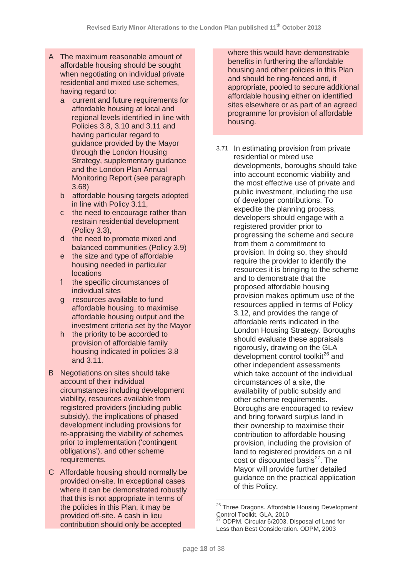- A The maximum reasonable amount of affordable housing should be sought when negotiating on individual private residential and mixed use schemes, having regard to:
	- a current and future requirements for affordable housing at local and regional levels identified in line with Policies 3.8, 3.10 and 3.11 and having particular regard to guidance provided by the Mayor through the London Housing Strategy, supplementary guidance and the London Plan Annual Monitoring Report (see paragraph 3.68)
	- b affordable housing targets adopted in line with Policy 3.11,
	- c the need to encourage rather than restrain residential development (Policy 3.3),
	- d the need to promote mixed and balanced communities (Policy 3.9)
	- e the size and type of affordable housing needed in particular locations
	- f the specific circumstances of individual sites
	- g resources available to fund affordable housing, to maximise affordable housing output and the investment criteria set by the Mayor
	- h the priority to be accorded to provision of affordable family housing indicated in policies 3.8 and 3.11.
- B Negotiations on sites should take account of their individual circumstances including development viability, resources available from registered providers (including public subsidy), the implications of phased development including provisions for re-appraising the viability of schemes prior to implementation ('contingent obligations'), and other scheme requirements.
- <span id="page-17-1"></span><span id="page-17-0"></span>C Affordable housing should normally be provided on-site. In exceptional cases where it can be demonstrated robustly that this is not appropriate in terms of the policies in this Plan, it may be provided off-site. A cash in lieu contribution should only be accepted

where this would have demonstrable benefits in furthering the affordable housing and other policies in this Plan and should be ring-fenced and, if appropriate, pooled to secure additional affordable housing either on identified sites elsewhere or as part of an agreed programme for provision of affordable housing.

3.71 In estimating provision from private residential or mixed use developments, boroughs should take into account economic viability and the most effective use of private and public investment, including the use of developer contributions. To expedite the planning process, developers should engage with a registered provider prior to progressing the scheme and secure from them a commitment to provision. In doing so, they should require the provider to identify the resources it is bringing to the scheme and to demonstrate that the proposed affordable housing provision makes optimum use of the resources applied in terms of Policy 3.12, and provides the range of affordable rents indicated in the London Housing Strategy. Boroughs should evaluate these appraisals rigorously, drawing on the GLA development control toolkit<sup>[26](#page-17-0)</sup> and other independent assessments which take account of the individual circumstances of a site, the availability of public subsidy and other scheme requirements**.** Boroughs are encouraged to review and bring forward surplus land in their ownership to maximise their contribution to affordable housing provision, including the provision of land to registered providers on a nil cost or discounted basis $27$ . The Mayor will provide further detailed guidance on the practical application of this Policy.

 $\overline{\phantom{a}}$ 

<sup>&</sup>lt;sup>26</sup> Three Dragons. Affordable Housing Development Control Toolkit. GLA, 2010

ODPM. Circular 6/2003. Disposal of Land for Less than Best Consideration. ODPM, 2003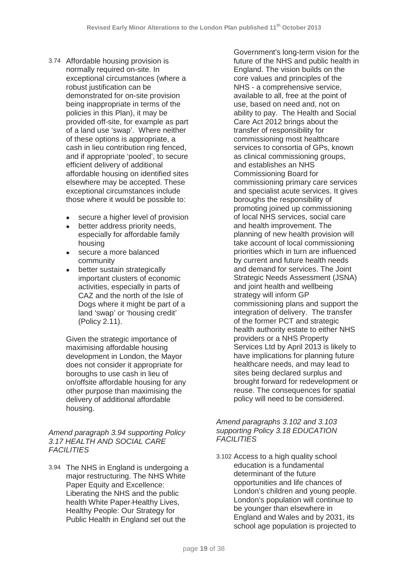- 3.74 Affordable housing provision is normally required on-site. In exceptional circumstances (where a robust justification can be demonstrated for on-site provision being inappropriate in terms of the policies in this Plan), it may be provided off-site, for example as part of a land use 'swap'. Where neither of these options is appropriate, a cash in lieu contribution ring fenced, and if appropriate 'pooled', to secure efficient delivery of additional affordable housing on identified sites elsewhere may be accepted. These exceptional circumstances include those where it would be possible to:
	- secure a higher level of provision
	- better address priority needs, especially for affordable family housing
	- secure a more balanced community
	- better sustain strategically important clusters of economic activities, especially in parts of CAZ and the north of the Isle of Dogs where it might be part of a land 'swap' or 'housing credit' (Policy 2.11).

Given the strategic importance of maximising affordable housing development in London, the Mayor does not consider it appropriate for boroughs to use cash in lieu of on/offsite affordable housing for any other purpose than maximising the delivery of additional affordable housing.

# *Amend paragraph 3.94 supporting Policy 3.17 HEALTH AND SOCIAL CARE FACILITIES*

3.94 The NHS in England is undergoing a major restructuring. The NHS White Paper Equity and Excellence: Liberating the NHS and the public health White Paper-Healthy Lives, Healthy People: Our Strategy for Public Health in England set out the

Government's long-term vision for the future of the NHS and public health in England. The vision builds on the core values and principles of the NHS - a comprehensive service, available to all, free at the point of use, based on need and, not on ability to pay. The Health and Social Care Act 2012 brings about the transfer of responsibility for commissioning most healthcare services to consortia of GPs, known as clinical commissioning groups, and establishes an NHS Commissioning Board for commissioning primary care services and specialist acute services. It gives boroughs the responsibility of promoting joined up commissioning of local NHS services, social care and health improvement. The planning of new health provision will take account of local commissioning priorities which in turn are influenced by current and future health needs and demand for services. The Joint Strategic Needs Assessment (JSNA) and joint health and wellbeing strategy will inform GP commissioning plans and support the integration of delivery. The transfer of the former PCT and strategic health authority estate to either NHS providers or a NHS Property Services Ltd by April 2013 is likely to have implications for planning future healthcare needs, and may lead to sites being declared surplus and brought forward for redevelopment or reuse. The consequences for spatial policy will need to be considered.

### *Amend paragraphs 3.102 and 3.103 supporting Policy 3.18 EDUCATION FACILITIES*

3.102 Access to a high quality school education is a fundamental determinant of the future opportunities and life chances of London's children and young people. London's population will continue to be younger than elsewhere in England and Wales and by 2031, its school age population is projected to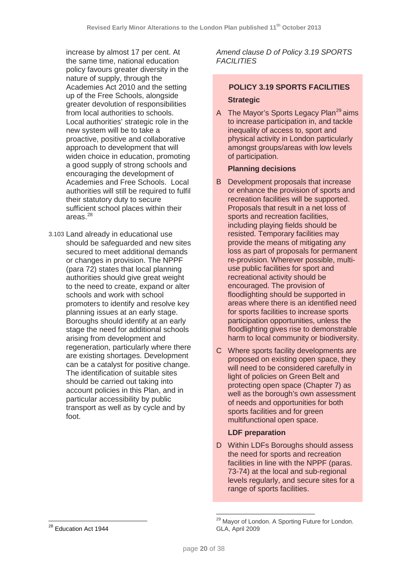increase by almost 17 per cent. At the same time, national education policy favours greater diversity in the nature of supply, through the Academies Act 2010 and the setting up of the Free Schools, alongside greater devolution of responsibilities from local authorities to schools. Local authorities' strategic role in the new system will be to take a proactive, positive and collaborative approach to development that will widen choice in education, promoting a good supply of strong schools and encouraging the development of Academies and Free Schools. Local authorities will still be required to fulfil their statutory duty to secure sufficient school places within their areas $^{28}$  $^{28}$  $^{28}$ 

3.103 Land already in educational use should be safeguarded and new sites secured to meet additional demands or changes in provision. The NPPF (para 72) states that local planning authorities should give great weight to the need to create, expand or alter schools and work with school promoters to identify and resolve key planning issues at an early stage. Boroughs should identify at an early stage the need for additional schools arising from development and regeneration, particularly where there are existing shortages. Development can be a catalyst for positive change. The identification of suitable sites should be carried out taking into account policies in this Plan, and in particular accessibility by public transport as well as by cycle and by foot.

# *Amend clause D of Policy 3.19 SPORTS FACILITIES*

# **POLICY 3.19 SPORTS FACILITIES Strategic**

A The Mayor's Sports Legacy Plan<sup>[29](#page-19-1)</sup> aims to increase participation in, and tackle inequality of access to, sport and physical activity in London particularly amongst groups/areas with low levels of participation.

# **Planning decisions**

- B Development proposals that increase or enhance the provision of sports and recreation facilities will be supported. Proposals that result in a net loss of sports and recreation facilities, including playing fields should be resisted. Temporary facilities may provide the means of mitigating any loss as part of proposals for permanent re-provision. Wherever possible, multiuse public facilities for sport and recreational activity should be encouraged. The provision of floodlighting should be supported in areas where there is an identified need for sports facilities to increase sports participation opportunities, unless the floodlighting gives rise to demonstrable harm to local community or biodiversity.
- C Where sports facility developments are proposed on existing open space, they will need to be considered carefully in light of policies on Green Belt and protecting open space (Chapter 7) as well as the borough's own assessment of needs and opportunities for both sports facilities and for green multifunctional open space.

# **LDF preparation**

D Within LDFs Boroughs should assess the need for sports and recreation facilities in line with the NPPF (paras. 73-74) at the local and sub-regional levels regularly, and secure sites for a range of sports facilities.

<sup>&</sup>lt;sup>29</sup> Mavor of London. A Sporting Future for London. GLA, April 2009

<span id="page-19-1"></span><span id="page-19-0"></span><sup>&</sup>lt;sup>28</sup> Education Act 1944  $\overline{a}$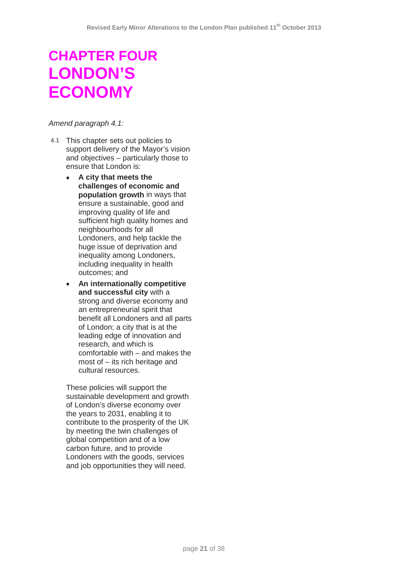# **CHAPTER FOUR LONDON'S ECONOMY**

#### *Amend paragraph 4.1:*

- 4.1 This chapter sets out policies to support delivery of the Mayor's vision and objectives – particularly those to ensure that London is:
	- **A city that meets the challenges of economic and population growth** in ways that ensure a sustainable, good and improving quality of life and sufficient high quality homes and neighbourhoods for all Londoners, and help tackle the huge issue of deprivation and inequality among Londoners, including inequality in health outcomes; and
	- **An internationally competitive and successful city** with a strong and diverse economy and an entrepreneurial spirit that benefit all Londoners and all parts of London; a city that is at the leading edge of innovation and research, and which is comfortable with – and makes the most of – its rich heritage and cultural resources.

These policies will support the sustainable development and growth of London's diverse economy over the years to 2031, enabling it to contribute to the prosperity of the UK by meeting the twin challenges of global competition and of a low carbon future, and to provide Londoners with the goods, services and job opportunities they will need.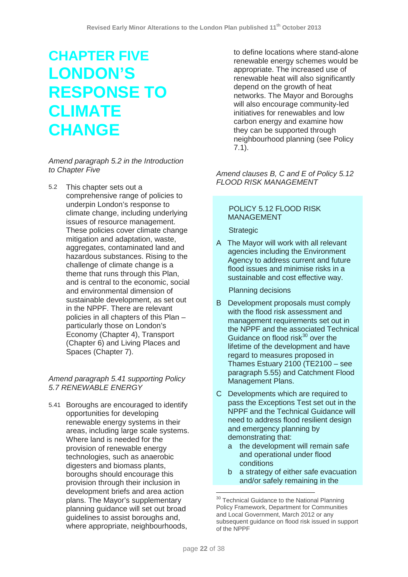# **CHAPTER FIVE LONDON'S RESPONSE TO CLIMATE CHANGE**

#### *Amend paragraph 5.2 in the Introduction to Chapter Five*

5.2 This chapter sets out a comprehensive range of policies to underpin London's response to climate change, including underlying issues of resource management. These policies cover climate change mitigation and adaptation, waste, aggregates, contaminated land and hazardous substances. Rising to the challenge of climate change is a theme that runs through this Plan, and is central to the economic, social and environmental dimension of sustainable development, as set out in the NPPF. There are relevant policies in all chapters of this Plan – particularly those on London's Economy (Chapter 4), Transport (Chapter 6) and Living Places and Spaces (Chapter 7).

# *Amend paragraph 5.41 supporting Policy 5.7 RENEWABLE ENERGY*

<span id="page-21-0"></span>5.41 Boroughs are encouraged to identify opportunities for developing renewable energy systems in their areas, including large scale systems. Where land is needed for the provision of renewable energy technologies, such as anaerobic digesters and biomass plants, boroughs should encourage this provision through their inclusion in development briefs and area action plans. The Mayor's supplementary planning guidance will set out broad guidelines to assist boroughs and, where appropriate, neighbourhoods,

to define locations where stand-alone renewable energy schemes would be appropriate. The increased use of renewable heat will also significantly depend on the growth of heat networks. The Mayor and Boroughs will also encourage community-led initiatives for renewables and low carbon energy and examine how they can be supported through neighbourhood planning (see Policy 7.1).

*Amend clauses B, C and E of Policy 5.12 FLOOD RISK MANAGEMENT* 

# POLICY 5.12 FLOOD RISK MANAGEMENT

# **Strategic**

A The Mayor will work with all relevant agencies including the Environment Agency to address current and future flood issues and minimise risks in a sustainable and cost effective way.

Planning decisions

- B Development proposals must comply with the flood risk assessment and management requirements set out in the NPPF and the associated Technical Guidance on flood risk $30$  over the lifetime of the development and have regard to measures proposed in Thames Estuary 2100 (TE2100 – see paragraph 5.55) and Catchment Flood Management Plans.
- C Developments which are required to pass the Exceptions Test set out in the NPPF and the Technical Guidance will need to address flood resilient design and emergency planning by demonstrating that:
	- a the development will remain safe and operational under flood conditions
	- b a strategy of either safe evacuation and/or safely remaining in the

 $\overline{\phantom{a}}$ 

<sup>&</sup>lt;sup>30</sup> Technical Guidance to the National Planning Policy Framework, Department for Communities and Local Government, March 2012 or any subsequent quidance on flood risk issued in support of the NPPF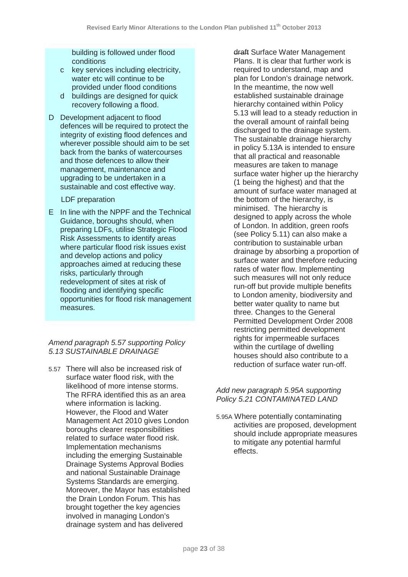building is followed under flood conditions

- c key services including electricity, water etc will continue to be provided under flood conditions
- d buildings are designed for quick recovery following a flood.
- D Development adjacent to flood defences will be required to protect the integrity of existing flood defences and wherever possible should aim to be set back from the banks of watercourses and those defences to allow their management, maintenance and upgrading to be undertaken in a sustainable and cost effective way.

# LDF preparation

E In line with the NPPF and the Technical Guidance, boroughs should, when preparing LDFs, utilise Strategic Flood Risk Assessments to identify areas where particular flood risk issues exist and develop actions and policy approaches aimed at reducing these risks, particularly through redevelopment of sites at risk of flooding and identifying specific opportunities for flood risk management measures.

# *Amend paragraph 5.57 supporting Policy 5.13 SUSTAINABLE DRAINAGE*

5.57 There will also be increased risk of surface water flood risk, with the likelihood of more intense storms. The RFRA identified this as an area where information is lacking. However, the Flood and Water Management Act 2010 gives London boroughs clearer responsibilities related to surface water flood risk. Implementation mechanisms including the emerging Sustainable Drainage Systems Approval Bodies and national Sustainable Drainage Systems Standards are emerging. Moreover, the Mayor has established the Drain London Forum. This has brought together the key agencies involved in managing London's drainage system and has delivered

draft Surface Water Management Plans. It is clear that further work is required to understand, map and plan for London's drainage network. In the meantime, the now well established sustainable drainage hierarchy contained within Policy 5.13 will lead to a steady reduction in the overall amount of rainfall being discharged to the drainage system. The sustainable drainage hierarchy in policy 5.13A is intended to ensure that all practical and reasonable measures are taken to manage surface water higher up the hierarchy (1 being the highest) and that the amount of surface water managed at the bottom of the hierarchy, is minimised. The hierarchy is designed to apply across the whole of London. In addition, green roofs (see Policy 5.11) can also make a contribution to sustainable urban drainage by absorbing a proportion of surface water and therefore reducing rates of water flow. Implementing such measures will not only reduce run-off but provide multiple benefits to London amenity, biodiversity and better water quality to name but three. Changes to the General Permitted Development Order 2008 restricting permitted development rights for impermeable surfaces within the curtilage of dwelling houses should also contribute to a reduction of surface water run-off.

# *Add new paragraph 5.95A supporting Policy 5.21 CONTAMINATED LAND*

5.95A Where potentially contaminating activities are proposed, development should include appropriate measures to mitigate any potential harmful effects.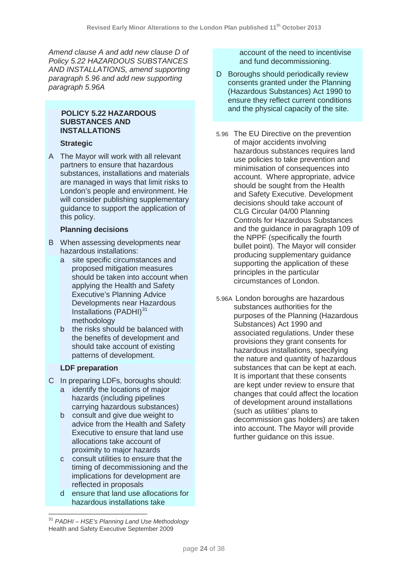*Amend clause A and add new clause D of Policy 5.22 HAZARDOUS SUBSTANCES AND INSTALLATIONS, amend supporting paragraph 5.96 and add new supporting paragraph 5.96A*

#### **POLICY 5.22 HAZARDOUS SUBSTANCES AND INSTALLATIONS**

# **Strategic**

A The Mayor will work with all relevant partners to ensure that hazardous substances, installations and materials are managed in ways that limit risks to London's people and environment. He will consider publishing supplementary guidance to support the application of this policy.

# **Planning decisions**

- B When assessing developments near hazardous installations:
	- a site specific circumstances and proposed mitigation measures should be taken into account when applying the Health and Safety Executive's Planning Advice Developments near Hazardous Installations (PADHI)<sup>[31](#page-23-0)</sup> methodology
	- b the risks should be balanced with the benefits of development and should take account of existing patterns of development.

# **LDF preparation**

- C In preparing LDFs, boroughs should:
	- a identify the locations of major hazards (including pipelines carrying hazardous substances)
	- b consult and give due weight to advice from the Health and Safety Executive to ensure that land use allocations take account of proximity to major hazards
	- c consult utilities to ensure that the timing of decommissioning and the implications for development are reflected in proposals
	- d ensure that land use allocations for hazardous installations take

account of the need to incentivise and fund decommissioning.

- D Boroughs should periodically review consents granted under the Planning (Hazardous Substances) Act 1990 to ensure they reflect current conditions and the physical capacity of the site.
- 5.96 The EU Directive on the prevention of major accidents involving hazardous substances requires land use policies to take prevention and minimisation of consequences into account. Where appropriate, advice should be sought from the Health and Safety Executive. Development decisions should take account of CLG Circular 04/00 Planning Controls for Hazardous Substances and the guidance in paragraph 109 of the NPPF (specifically the fourth bullet point). The Mayor will consider producing supplementary guidance supporting the application of these principles in the particular circumstances of London.
- 5.96A London boroughs are hazardous substances authorities for the purposes of the Planning (Hazardous Substances) Act 1990 and associated regulations. Under these provisions they grant consents for hazardous installations, specifying the nature and quantity of hazardous substances that can be kept at each. It is important that these consents are kept under review to ensure that changes that could affect the location of development around installations (such as utilities' plans to decommission gas holders) are taken into account. The Mayor will provide further guidance on this issue.

<span id="page-23-0"></span><sup>31</sup> *PADHI – HSE's Planning Land Use Methodology* Health and Safety Executive September 2009  $\overline{\phantom{a}}$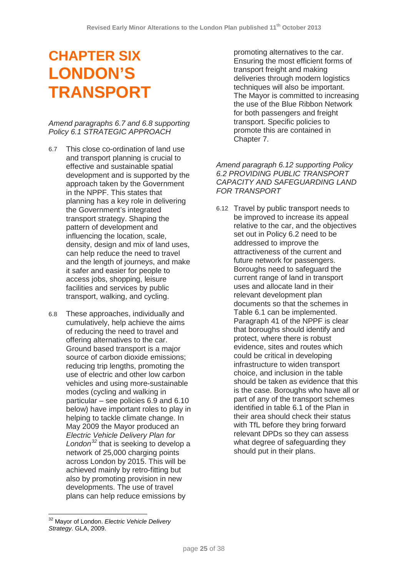# **CHAPTER SIX LONDON'S TRANSPORT**

# *Amend paragraphs 6.7 and 6.8 supporting Policy 6.1 STRATEGIC APPROACH*

- 6.7 This close co-ordination of land use and transport planning is crucial to effective and sustainable spatial development and is supported by the approach taken by the Government in the NPPF. This states that planning has a key role in delivering the Government's integrated transport strategy. Shaping the pattern of development and influencing the location, scale, density, design and mix of land uses, can help reduce the need to travel and the length of journeys, and make it safer and easier for people to access jobs, shopping, leisure facilities and services by public transport, walking, and cycling.
- 6.8 These approaches, individually and cumulatively, help achieve the aims of reducing the need to travel and offering alternatives to the car. Ground based transport is a major source of carbon dioxide emissions; reducing trip lengths, promoting the use of electric and other low carbon vehicles and using more-sustainable modes (cycling and walking in particular – see policies 6.9 and 6.10 below) have important roles to play in helping to tackle climate change. In May 2009 the Mayor produced an *Electric Vehicle Delivery Plan for London[32](#page-24-0)* that is seeking to develop a network of 25,000 charging points across London by 2015. This will be achieved mainly by retro-fitting but also by promoting provision in new developments. The use of travel plans can help reduce emissions by

promoting alternatives to the car. Ensuring the most efficient forms of transport freight and making deliveries through modern logistics techniques will also be important. The Mayor is committed to increasing the use of the Blue Ribbon Network for both passengers and freight transport. Specific policies to promote this are contained in Chapter 7.

### *Amend paragraph 6.12 supporting Policy 6.2 PROVIDING PUBLIC TRANSPORT CAPACITY AND SAFEGUARDING LAND FOR TRANSPORT*

6.12 Travel by public transport needs to be improved to increase its appeal relative to the car, and the objectives set out in Policy 6.2 need to be addressed to improve the attractiveness of the current and future network for passengers. Boroughs need to safeguard the current range of land in transport uses and allocate land in their relevant development plan documents so that the schemes in Table 6.1 can be implemented. Paragraph 41 of the NPPF is clear that boroughs should identify and protect, where there is robust evidence, sites and routes which could be critical in developing infrastructure to widen transport choice, and inclusion in the table should be taken as evidence that this is the case. Boroughs who have all or part of any of the transport schemes identified in table 6.1 of the Plan in their area should check their status with TfL before they bring forward relevant DPDs so they can assess what degree of safeguarding they should put in their plans.

<span id="page-24-0"></span><sup>32</sup> Mayor of London. *Electric Vehicle Delivery Strategy*. GLA, 2009.  $\overline{a}$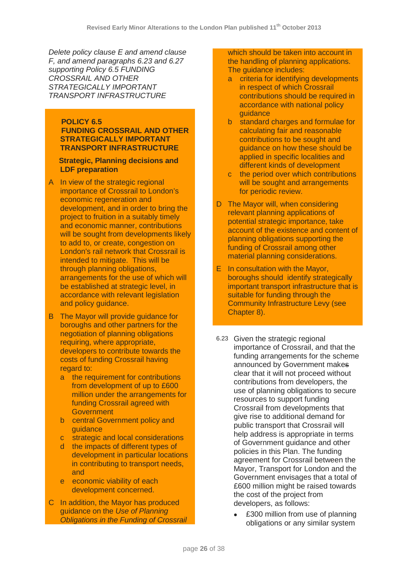*Delete policy clause E and amend clause F, and amend paragraphs 6.23 and 6.27 supporting Policy 6.5 FUNDING CROSSRAIL AND OTHER STRATEGICALLY IMPORTANT TRANSPORT INFRASTRUCTURE* 

#### **POLICY 6.5 FUNDING CROSSRAIL AND OTHER STRATEGICALLY IMPORTANT TRANSPORT INFRASTRUCTURE**

#### **Strategic, Planning decisions and LDF preparation**

- A In view of the strategic regional importance of Crossrail to London's economic regeneration and development, and in order to bring the project to fruition in a suitably timely and economic manner, contributions will be sought from developments likely to add to, or create, congestion on London's rail network that Crossrail is intended to mitigate. This will be through planning obligations, arrangements for the use of which will be established at strategic level, in accordance with relevant legislation and policy guidance.
- B The Mayor will provide guidance for boroughs and other partners for the negotiation of planning obligations requiring, where appropriate, developers to contribute towards the costs of funding Crossrail having regard to:
	- a the requirement for contributions from development of up to £600 million under the arrangements for funding Crossrail agreed with **Government**
	- b central Government policy and guidance
	- c strategic and local considerations
	- d the impacts of different types of development in particular locations in contributing to transport needs, and
	- e economic viability of each development concerned.
- C In addition, the Mayor has produced guidance on the *Use of Planning Obligations in the Funding of Crossrail*

which should be taken into account in the handling of planning applications. The guidance includes:

- a criteria for identifying developments in respect of which Crossrail contributions should be required in accordance with national policy guidance
- b standard charges and formulae for calculating fair and reasonable contributions to be sought and guidance on how these should be applied in specific localities and different kinds of development
- c the period over which contributions will be sought and arrangements for periodic review.
- D The Mayor will, when considering relevant planning applications of potential strategic importance, take account of the existence and content of planning obligations supporting the funding of Crossrail among other material planning considerations.
- E In consultation with the Mayor, boroughs should identify strategically important transport infrastructure that is suitable for funding through the Community Infrastructure Levy (see Chapter 8).
- 6.23 Given the strategic regional importance of Crossrail, and that the funding arrangements for the scheme announced by Government makes clear that it will not proceed without contributions from developers, the use of planning obligations to secure resources to support funding Crossrail from developments that give rise to additional demand for public transport that Crossrail will help address is appropriate in terms of Government guidance and other policies in this Plan. The funding agreement for Crossrail between the Mayor, Transport for London and the Government envisages that a total of £600 million might be raised towards the cost of the project from developers, as follows:
	- £300 million from use of planning obligations or any similar system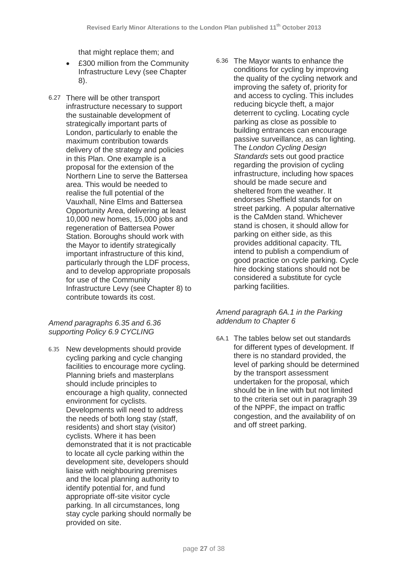that might replace them; and

- £300 million from the Community Infrastructure Levy (see Chapter 8).
- 6.27 There will be other transport infrastructure necessary to support the sustainable development of strategically important parts of London, particularly to enable the maximum contribution towards delivery of the strategy and policies in this Plan. One example is a proposal for the extension of the Northern Line to serve the Battersea area. This would be needed to realise the full potential of the Vauxhall, Nine Elms and Battersea Opportunity Area, delivering at least 10,000 new homes, 15,000 jobs and regeneration of Battersea Power Station. Boroughs should work with the Mayor to identify strategically important infrastructure of this kind, particularly through the LDF process, and to develop appropriate proposals for use of the Community Infrastructure Levy (see Chapter 8) to contribute towards its cost.

*Amend paragraphs 6.35 and 6.36 supporting Policy 6.9 CYCLING*

6.35 New developments should provide cycling parking and cycle changing facilities to encourage more cycling. Planning briefs and masterplans should include principles to encourage a high quality, connected environment for cyclists. Developments will need to address the needs of both long stay (staff, residents) and short stay (visitor) cyclists. Where it has been demonstrated that it is not practicable to locate all cycle parking within the development site, developers should liaise with neighbouring premises and the local planning authority to identify potential for, and fund appropriate off-site visitor cycle parking. In all circumstances, long stay cycle parking should normally be provided on site.

6.36 The Mayor wants to enhance the conditions for cycling by improving the quality of the cycling network and improving the safety of, priority for and access to cycling. This includes reducing bicycle theft, a major deterrent to cycling. Locating cycle parking as close as possible to building entrances can encourage passive surveillance, as can lighting. The *London Cycling Design Standards* sets out good practice regarding the provision of cycling infrastructure, including how spaces should be made secure and sheltered from the weather. It endorses Sheffield stands for on street parking. A popular alternative is the CaMden stand. Whichever stand is chosen, it should allow for parking on either side, as this provides additional capacity. TfL intend to publish a compendium of good practice on cycle parking. Cycle hire docking stations should not be considered a substitute for cycle parking facilities.

# *Amend paragraph 6A.1 in the Parking addendum to Chapter 6*

6A.1 The tables below set out standards for different types of development. If there is no standard provided, the level of parking should be determined by the transport assessment undertaken for the proposal, which should be in line with but not limited to the criteria set out in paragraph 39 of the NPPF, the impact on traffic congestion, and the availability of on and off street parking.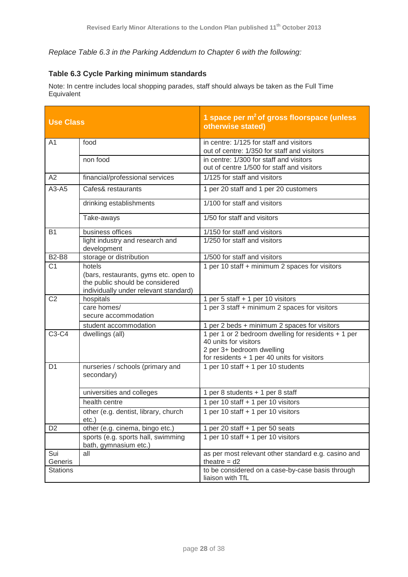# *Replace Table 6.3 in the Parking Addendum to Chapter 6 with the following:*

# **Table 6.3 Cycle Parking minimum standards**

Note: In centre includes local shopping parades, staff should always be taken as the Full Time Equivalent

| <b>Use Class</b> |                                                                                                                   | 1 space per $m^2$ of gross floorspace (unless<br>otherwise stated)                                        |
|------------------|-------------------------------------------------------------------------------------------------------------------|-----------------------------------------------------------------------------------------------------------|
| A <sub>1</sub>   | food                                                                                                              | in centre: 1/125 for staff and visitors<br>out of centre: 1/350 for staff and visitors                    |
|                  | non food                                                                                                          | in centre: 1/300 for staff and visitors<br>out of centre 1/500 for staff and visitors                     |
| A2               | financial/professional services                                                                                   | 1/125 for staff and visitors                                                                              |
| $A3 - A5$        | Cafes& restaurants                                                                                                | 1 per 20 staff and 1 per 20 customers                                                                     |
|                  | drinking establishments                                                                                           | 1/100 for staff and visitors                                                                              |
|                  | Take-aways                                                                                                        | 1/50 for staff and visitors                                                                               |
| <b>B1</b>        | business offices                                                                                                  | 1/150 for staff and visitors                                                                              |
|                  | light industry and research and<br>development                                                                    | 1/250 for staff and visitors                                                                              |
| <b>B2-B8</b>     | storage or distribution                                                                                           | 1/500 for staff and visitors                                                                              |
| C <sub>1</sub>   | hotels                                                                                                            | 1 per 10 staff + minimum 2 spaces for visitors                                                            |
|                  | (bars, restaurants, gyms etc. open to<br>the public should be considered<br>individually under relevant standard) |                                                                                                           |
| C <sub>2</sub>   | hospitals                                                                                                         | 1 per 5 staff + 1 per 10 visitors                                                                         |
|                  | care homes/                                                                                                       | 1 per 3 staff + minimum 2 spaces for visitors                                                             |
|                  | secure accommodation                                                                                              |                                                                                                           |
|                  | student accommodation                                                                                             | 1 per 2 beds + minimum 2 spaces for visitors                                                              |
| C3-C4            | dwellings (all)                                                                                                   | 1 per 1 or 2 bedroom dwelling for residents + 1 per<br>40 units for visitors<br>2 per 3+ bedroom dwelling |
|                  |                                                                                                                   | for residents $+1$ per 40 units for visitors                                                              |
| D <sub>1</sub>   | nurseries / schools (primary and<br>secondary)                                                                    | 1 per 10 staff + 1 per 10 students                                                                        |
|                  | universities and colleges                                                                                         | 1 per 8 students + 1 per 8 staff                                                                          |
|                  | health centre                                                                                                     | 1 per 10 staff + 1 per 10 visitors                                                                        |
|                  | other (e.g. dentist, library, church<br>etc.)                                                                     | 1 per 10 staff + 1 per 10 visitors                                                                        |
| D <sub>2</sub>   | other (e.g. cinema, bingo etc.)                                                                                   | 1 per 20 staff + 1 per 50 seats                                                                           |
|                  | sports (e.g. sports hall, swimming<br>bath, gymnasium etc.)                                                       | 1 per 10 staff + 1 per 10 visitors                                                                        |
| Sui<br>Generis   | all                                                                                                               | as per most relevant other standard e.g. casino and<br>theatre $= d2$                                     |
| <b>Stations</b>  |                                                                                                                   | to be considered on a case-by-case basis through<br>liaison with TfL                                      |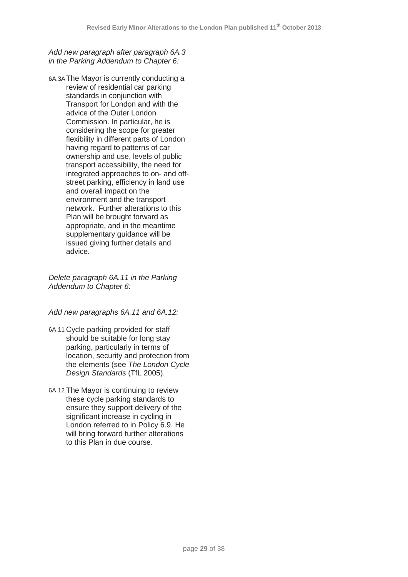*Add new paragraph after paragraph 6A.3 in the Parking Addendum to Chapter 6:*

6A.3AThe Mayor is currently conducting a review of residential car parking standards in conjunction with Transport for London and with the advice of the Outer London Commission. In particular, he is considering the scope for greater flexibility in different parts of London having regard to patterns of car ownership and use, levels of public transport accessibility, the need for integrated approaches to on- and offstreet parking, efficiency in land use and overall impact on the environment and the transport network. Further alterations to this Plan will be brought forward as appropriate, and in the meantime supplementary guidance will be issued giving further details and advice.

*Delete paragraph 6A.11 in the Parking Addendum to Chapter 6:*

# *Add new paragraphs 6A.11 and 6A.12:*

- 6A.11 Cycle parking provided for staff should be suitable for long stay parking, particularly in terms of location, security and protection from the elements (see *The London Cycle Design Standards* (TfL 2005).
- 6A.12 The Mayor is continuing to review these cycle parking standards to ensure they support delivery of the significant increase in cycling in London referred to in Policy 6.9. He will bring forward further alterations to this Plan in due course.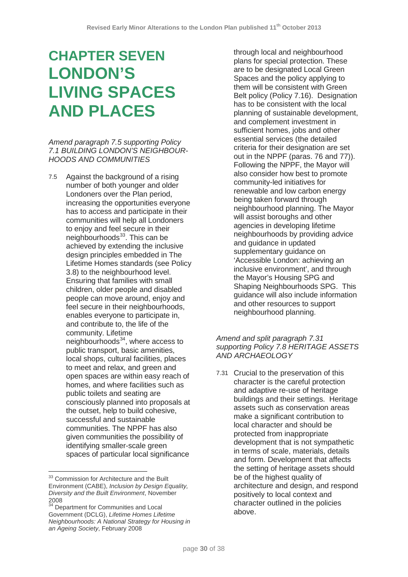# **CHAPTER SEVEN LONDON'S LIVING SPACES AND PLACES**

*Amend paragraph 7.5 supporting Policy 7.1 BUILDING LONDON'S NEIGHBOUR-HOODS AND COMMUNITIES*

7.5 Against the background of a rising number of both younger and older Londoners over the Plan period, increasing the opportunities everyone has to access and participate in their communities will help all Londoners to enjoy and feel secure in their neighbourhoods $33$ . This can be achieved by extending the inclusive design principles embedded in The Lifetime Homes standards (see Policy 3.8) to the neighbourhood level. Ensuring that families with small children, older people and disabled people can move around, enjoy and feel secure in their neighbourhoods, enables everyone to participate in, and contribute to, the life of the community. Lifetime neighbourhoods<sup>34</sup>, where access to public transport, basic amenities, local shops, cultural facilities, places to meet and relax, and green and open spaces are within easy reach of homes, and where facilities such as public toilets and seating are consciously planned into proposals at the outset, help to build cohesive, successful and sustainable communities. The NPPF has also given communities the possibility of identifying smaller-scale green spaces of particular local significance

 $\overline{a}$ 

through local and neighbourhood plans for special protection. These are to be designated Local Green Spaces and the policy applying to them will be consistent with Green Belt policy (Policy 7.16). Designation has to be consistent with the local planning of sustainable development, and complement investment in sufficient homes, jobs and other essential services (the detailed criteria for their designation are set out in the NPPF (paras. 76 and 77)). Following the NPPF, the Mayor will also consider how best to promote community-led initiatives for renewable and low carbon energy being taken forward through neighbourhood planning. The Mayor will assist boroughs and other agencies in developing lifetime neighbourhoods by providing advice and guidance in updated supplementary quidance on 'Accessible London: achieving an inclusive environment', and through the Mayor's Housing SPG and Shaping Neighbourhoods SPG. This guidance will also include information and other resources to support neighbourhood planning.

# *Amend and split paragraph 7.31 supporting Policy 7.8 HERITAGE ASSETS AND ARCHAEOLOGY*

7.31 Crucial to the preservation of this character is the careful protection and adaptive re-use of heritage buildings and their settings. Heritage assets such as conservation areas make a significant contribution to local character and should be protected from inappropriate development that is not sympathetic in terms of scale, materials, details and form. Development that affects the setting of heritage assets should be of the highest quality of architecture and design, and respond positively to local context and character outlined in the policies above.

<span id="page-29-0"></span><sup>&</sup>lt;sup>33</sup> Commission for Architecture and the Built Environment (CABE), *Inclusion by Design Equality, Diversity and the Built Environment*, November 2008

<span id="page-29-1"></span><sup>&</sup>lt;sup>34</sup> Department for Communities and Local Government (DCLG), *Lifetime Homes Lifetime Neighbourhoods: A National Strategy for Housing in an Ageing Society*, February 2008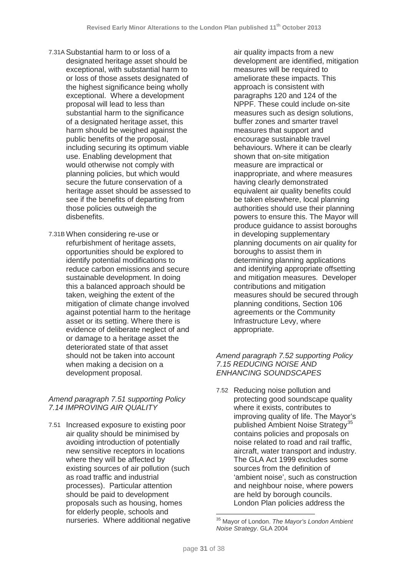- 7.31A Substantial harm to or loss of a designated heritage asset should be exceptional, with substantial harm to or loss of those assets designated of the highest significance being wholly exceptional. Where a development proposal will lead to less than substantial harm to the significance of a designated heritage asset, this harm should be weighed against the public benefits of the proposal, including securing its optimum viable use. Enabling development that would otherwise not comply with planning policies, but which would secure the future conservation of a heritage asset should be assessed to see if the benefits of departing from those policies outweigh the disbenefits.
- 7.31B When considering re-use or refurbishment of heritage assets, opportunities should be explored to identify potential modifications to reduce carbon emissions and secure sustainable development. In doing this a balanced approach should be taken, weighing the extent of the mitigation of climate change involved against potential harm to the heritage asset or its setting. Where there is evidence of deliberate neglect of and or damage to a heritage asset the deteriorated state of that asset should not be taken into account when making a decision on a development proposal.

# *Amend paragraph 7.51 supporting Policy 7.14 IMPROVING AIR QUALITY*

<span id="page-30-0"></span>7.51 Increased exposure to existing poor air quality should be minimised by avoiding introduction of potentially new sensitive receptors in locations where they will be affected by existing sources of air pollution (such as road traffic and industrial processes). Particular attention should be paid to development proposals such as housing, homes for elderly people, schools and nurseries. Where additional negative air quality impacts from a new development are identified, mitigation measures will be required to ameliorate these impacts. This approach is consistent with paragraphs 120 and 124 of the NPPF. These could include on-site measures such as design solutions, buffer zones and smarter travel measures that support and encourage sustainable travel behaviours. Where it can be clearly shown that on-site mitigation measure are impractical or inappropriate, and where measures having clearly demonstrated equivalent air quality benefits could be taken elsewhere, local planning authorities should use their planning powers to ensure this. The Mayor will produce guidance to assist boroughs in developing supplementary planning documents on air quality for boroughs to assist them in determining planning applications and identifying appropriate offsetting and mitigation measures. Developer contributions and mitigation measures should be secured through planning conditions, Section 106 agreements or the Community Infrastructure Levy, where appropriate.

# *Amend paragraph 7.52 supporting Policy 7.15 REDUCING NOISE AND ENHANCING SOUNDSCAPES*

7.52 Reducing noise pollution and protecting good soundscape quality where it exists, contributes to improving quality of life. The Mayor's published Ambient Noise Strategy<sup>[35](#page-30-0)</sup> contains policies and proposals on noise related to road and rail traffic, aircraft, water transport and industry. The GLA Act 1999 excludes some sources from the definition of 'ambient noise', such as construction and neighbour noise, where powers are held by borough councils. London Plan policies address the

<sup>35</sup> Mayor of London. *The Mayor's London Ambient Noise Strategy*. GLA 2004  $\overline{\phantom{a}}$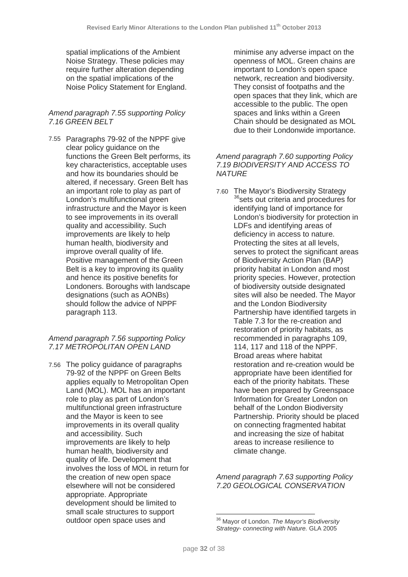spatial implications of the Ambient Noise Strategy. These policies may require further alteration depending on the spatial implications of the Noise Policy Statement for England.

# *Amend paragraph 7.55 supporting Policy 7.16 GREEN BELT*

7.55 Paragraphs 79-92 of the NPPF give clear policy guidance on the functions the Green Belt performs, its key characteristics, acceptable uses and how its boundaries should be altered, if necessary. Green Belt has an important role to play as part of London's multifunctional green infrastructure and the Mayor is keen to see improvements in its overall quality and accessibility. Such improvements are likely to help human health, biodiversity and improve overall quality of life. Positive management of the Green Belt is a key to improving its quality and hence its positive benefits for Londoners. Boroughs with landscape designations (such as AONBs) should follow the advice of NPPF paragraph 113.

# *Amend paragraph 7.56 supporting Policy 7.17 METROPOLITAN OPEN LAND*

<span id="page-31-0"></span>7.56 The policy guidance of paragraphs 79-92 of the NPPF on Green Belts applies equally to Metropolitan Open Land (MOL). MOL has an important role to play as part of London's multifunctional green infrastructure and the Mayor is keen to see improvements in its overall quality and accessibility. Such improvements are likely to help human health, biodiversity and quality of life. Development that involves the loss of MOL in return for the creation of new open space elsewhere will not be considered appropriate. Appropriate development should be limited to small scale structures to support outdoor open space uses and

minimise any adverse impact on the openness of MOL. Green chains are important to London's open space network, recreation and biodiversity. They consist of footpaths and the open spaces that they link, which are accessible to the public. The open spaces and links within a Green Chain should be designated as MOL due to their Londonwide importance.

# *Amend paragraph 7.60 supporting Policy 7.19 BIODIVERSITY AND ACCESS TO NATURE*

7.60 The Mayor's Biodiversity Strategy <sup>[36](#page-31-0)</sup>sets out criteria and procedures for identifying land of importance for London's biodiversity for protection in LDFs and identifying areas of deficiency in access to nature. Protecting the sites at all levels, serves to protect the significant areas of Biodiversity Action Plan (BAP) priority habitat in London and most priority species. However, protection of biodiversity outside designated sites will also be needed. The Mayor and the London Biodiversity Partnership have identified targets in Table 7.3 for the re-creation and restoration of priority habitats, as recommended in paragraphs 109, 114, 117 and 118 of the NPPF. Broad areas where habitat restoration and re-creation would be appropriate have been identified for each of the priority habitats. These have been prepared by Greenspace Information for Greater London on behalf of the London Biodiversity Partnership. Priority should be placed on connecting fragmented habitat and increasing the size of habitat areas to increase resilience to climate change.

*Amend paragraph 7.63 supporting Policy 7.20 GEOLOGICAL CONSERVATION*

<sup>36</sup> Mayor of London. *The Mayor's Biodiversity Strategy- connecting with Nature.* GLA 2005  $\overline{\phantom{a}}$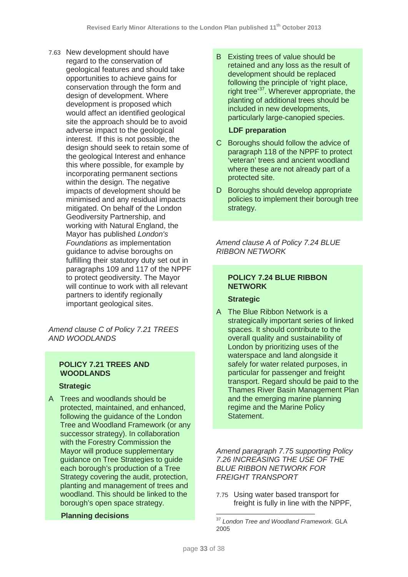7.63 New development should have regard to the conservation of geological features and should take opportunities to achieve gains for conservation through the form and design of development. Where development is proposed which would affect an identified geological site the approach should be to avoid adverse impact to the geological interest. If this is not possible, the design should seek to retain some of the geological Interest and enhance this where possible, for example by incorporating permanent sections within the design. The negative impacts of development should be minimised and any residual impacts mitigated. On behalf of the London Geodiversity Partnership, and working with Natural England, the Mayor has published *London's Foundations* as implementation guidance to advise boroughs on fulfilling their statutory duty set out in paragraphs 109 and 117 of the NPPF to protect geodiversity. The Mayor will continue to work with all relevant partners to identify regionally important geological sites.

*Amend clause C of Policy 7.21 TREES AND WOODLANDS*

# **POLICY 7.21 TREES AND WOODLANDS**

# **Strategic**

A Trees and woodlands should be protected, maintained, and enhanced, following the guidance of the London Tree and Woodland Framework (or any successor strategy). In collaboration with the Forestry Commission the Mayor will produce supplementary guidance on Tree Strategies to guide each borough's production of a Tree Strategy covering the audit, protection, planting and management of trees and woodland. This should be linked to the borough's open space strategy.

#### <span id="page-32-0"></span> **Planning decisions**

B Existing trees of value should be retained and any loss as the result of development should be replaced following the principle of 'right place, right tree'[37](#page-32-0). Wherever appropriate, the planting of additional trees should be included in new developments, particularly large-canopied species.

### **LDF preparation**

- C Boroughs should follow the advice of paragraph 118 of the NPPF to protect 'veteran' trees and ancient woodland where these are not already part of a protected site.
- D Boroughs should develop appropriate policies to implement their borough tree strategy.

*Amend clause A of Policy 7.24 BLUE RIBBON NETWORK* 

# **POLICY 7.24 BLUE RIBBON NETWORK**

# **Strategic**

A The Blue Ribbon Network is a strategically important series of linked spaces. It should contribute to the overall quality and sustainability of London by prioritizing uses of the waterspace and land alongside it safely for water related purposes, in particular for passenger and freight transport. Regard should be paid to the Thames River Basin Management Plan and the emerging marine planning regime and the Marine Policy Statement.

*Amend paragraph 7.75 supporting Policy 7.26 INCREASING THE USE OF THE BLUE RIBBON NETWORK FOR FREIGHT TRANSPORT*

7.75 Using water based transport for freight is fully in line with the NPPF.

<sup>37</sup> *London Tree and Woodland Framework.* GLA 2005  $\overline{\phantom{a}}$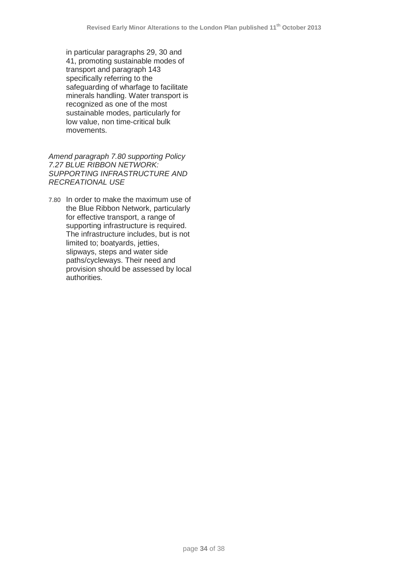in particular paragraphs 29, 30 and 41, promoting sustainable modes of transport and paragraph 143 specifically referring to the safeguarding of wharfage to facilitate minerals handling. Water transport is recognized as one of the most sustainable modes, particularly for low value, non time-critical bulk movements.

*Amend paragraph 7.80 supporting Policy 7.27 BLUE RIBBON NETWORK: SUPPORTING INFRASTRUCTURE AND RECREATIONAL USE*

7.80 In order to make the maximum use of the Blue Ribbon Network, particularly for effective transport, a range of supporting infrastructure is required. The infrastructure includes, but is not limited to; boatyards, jetties, slipways, steps and water side paths/cycleways. Their need and provision should be assessed by local authorities.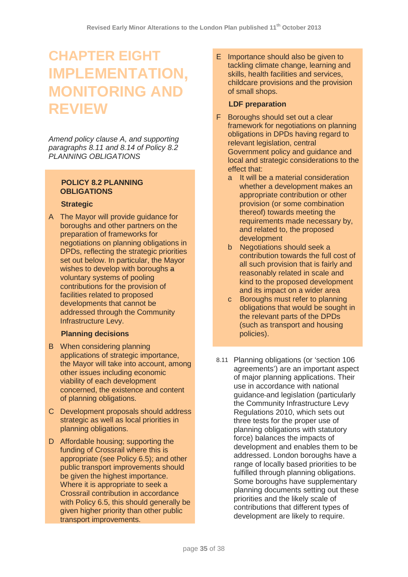# **CHAPTER EIGHT IMPLEMENTATION, MONITORING AND REVIEW**

*Amend policy clause A, and supporting paragraphs 8.11 and 8.14 of Policy 8.2 PLANNING OBLIGATIONS*

# **POLICY 8.2 PLANNING OBLIGATIONS**

# **Strategic**

A The Mayor will provide guidance for boroughs and other partners on the preparation of frameworks for negotiations on planning obligations in DPDs, reflecting the strategic priorities set out below. In particular, the Mayor wishes to develop with boroughs a voluntary systems of pooling contributions for the provision of facilities related to proposed developments that cannot be addressed through the Community Infrastructure Levy.

# **Planning decisions**

- B When considering planning applications of strategic importance, the Mayor will take into account, among other issues including economic viability of each development concerned, the existence and content of planning obligations.
- C Development proposals should address strategic as well as local priorities in planning obligations.
- D Affordable housing; supporting the funding of Crossrail where this is appropriate (see Policy 6.5); and other public transport improvements should be given the highest importance. Where it is appropriate to seek a Crossrail contribution in accordance with Policy 6.5, this should generally be given higher priority than other public transport improvements.

E Importance should also be given to tackling climate change, learning and skills, health facilities and services, childcare provisions and the provision of small shops.

# **LDF preparation**

- F Boroughs should set out a clear framework for negotiations on planning obligations in DPDs having regard to relevant legislation, central Government policy and guidance and local and strategic considerations to the effect that:
	- a It will be a material consideration whether a development makes an appropriate contribution or other provision (or some combination thereof) towards meeting the requirements made necessary by, and related to, the proposed development
	- b Negotiations should seek a contribution towards the full cost of all such provision that is fairly and reasonably related in scale and kind to the proposed development and its impact on a wider area
	- c Boroughs must refer to planning obligations that would be sought in the relevant parts of the DPDs (such as transport and housing policies).
- 8.11 Planning obligations (or 'section 106 agreements') are an important aspect of major planning applications. Their use in accordance with national guidance and legislation (particularly the Community Infrastructure Levy Regulations 2010, which sets out three tests for the proper use of planning obligations with statutory force) balances the impacts of development and enables them to be addressed. London boroughs have a range of locally based priorities to be fulfilled through planning obligations. Some boroughs have supplementary planning documents setting out these priorities and the likely scale of contributions that different types of development are likely to require.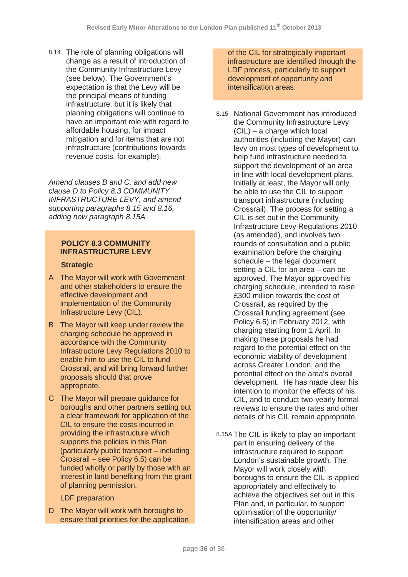8.14 The role of planning obligations will change as a result of introduction of the Community Infrastructure Levy (see below). The Government's expectation is that the Levy will be the principal means of funding infrastructure, but it is likely that planning obligations will continue to have an important role with regard to affordable housing, for impact mitigation and for items that are not infrastructure (contributions towards revenue costs, for example).

*Amend clauses B and C, and add new clause D to Policy 8.3 COMMUNITY INFRASTRUCTURE LEVY, and amend supporting paragraphs 8.15 and 8.16, adding new paragraph 8.15A*

# **POLICY 8.3 COMMUNITY INFRASTRUCTURE LEVY**

#### **Strategic**

- A The Mayor will work with Government and other stakeholders to ensure the effective development and implementation of the Community Infrastructure Levy (CIL).
- B The Mayor will keep under review the charging schedule he approved in accordance with the Community Infrastructure Levy Regulations 2010 to enable him to use the CIL to fund Crossrail, and will bring forward further proposals should that prove appropriate.
- C The Mayor will prepare guidance for boroughs and other partners setting out a clear framework for application of the CIL to ensure the costs incurred in providing the infrastructure which supports the policies in this Plan (particularly public transport – including Crossrail – see Policy 6.5) can be funded wholly or partly by those with an interest in land benefiting from the grant of planning permission.

LDF preparation

D The Mayor will work with boroughs to ensure that priorities for the application of the CIL for strategically important infrastructure are identified through the LDF process, particularly to support development of opportunity and intensification areas.

- 8.15 National Government has introduced the Community Infrastructure Levy (CIL) – a charge which local authorities (including the Mayor) can levy on most types of development to help fund infrastructure needed to support the development of an area in line with local development plans. Initially at least, the Mayor will only be able to use the CIL to support transport infrastructure (including Crossrail). The process for setting a CIL is set out in the Community Infrastructure Levy Regulations 2010 (as amended), and involves two rounds of consultation and a public examination before the charging schedule – the legal document setting a CIL for an area – can be approved. The Mayor approved his charging schedule, intended to raise £300 million towards the cost of Crossrail, as required by the Crossrail funding agreement (see Policy 6.5) in February 2012, with charging starting from 1 April. In making these proposals he had regard to the potential effect on the economic viability of development across Greater London, and the potential effect on the area's overall development. He has made clear his intention to monitor the effects of his CIL, and to conduct two-yearly formal reviews to ensure the rates and other details of his CIL remain appropriate.
- 8.15A The CIL is likely to play an important part in ensuring delivery of the infrastructure required to support London's sustainable growth. The Mayor will work closely with boroughs to ensure the CIL is applied appropriately and effectively to achieve the objectives set out in this Plan and, in particular, to support optimisation of the opportunity/ intensification areas and other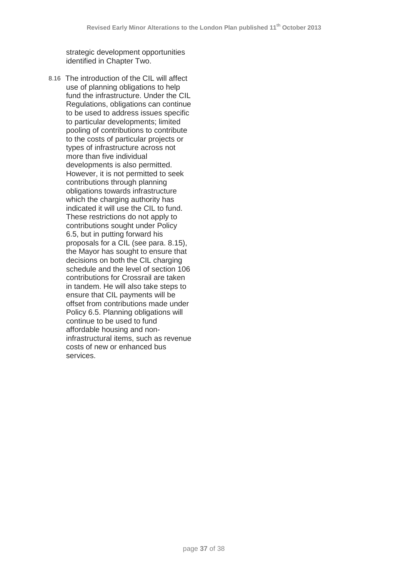strategic development opportunities identified in Chapter Two.

8.16 The introduction of the CIL will affect use of planning obligations to help fund the infrastructure. Under the CIL Regulations, obligations can continue to be used to address issues specific to particular developments; limited pooling of contributions to contribute to the costs of particular projects or types of infrastructure across not more than five individual developments is also permitted. However, it is not permitted to seek contributions through planning obligations towards infrastructure which the charging authority has indicated it will use the CIL to fund. These restrictions do not apply to contributions sought under Policy 6.5, but in putting forward his proposals for a CIL (see para. 8.15), the Mayor has sought to ensure that decisions on both the CIL charging schedule and the level of section 106 contributions for Crossrail are taken in tandem. He will also take steps to ensure that CIL payments will be offset from contributions made under Policy 6.5. Planning obligations will continue to be used to fund affordable housing and noninfrastructural items, such as revenue costs of new or enhanced bus services.